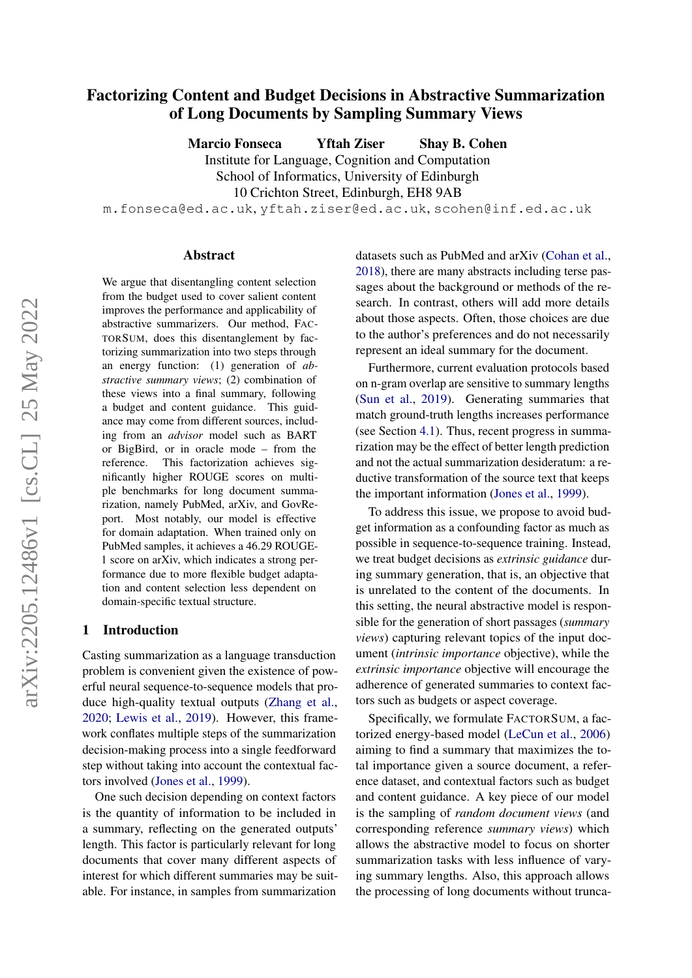# arXiv:2205.12486v1 [cs.CL] 25 May 2022 arXiv:2205.12486v1 [cs.CL] 25 May 2022

# Factorizing Content and Budget Decisions in Abstractive Summarization of Long Documents by Sampling Summary Views

Marcio Fonseca Yftah Ziser Shay B. Cohen

Institute for Language, Cognition and Computation School of Informatics, University of Edinburgh

10 Crichton Street, Edinburgh, EH8 9AB

m.fonseca@ed.ac.uk, yftah.ziser@ed.ac.uk, scohen@inf.ed.ac.uk

#### Abstract

We argue that disentangling content selection from the budget used to cover salient content improves the performance and applicability of abstractive summarizers. Our method, FAC-TORSUM, does this disentanglement by factorizing summarization into two steps through an energy function: (1) generation of *abstractive summary views*; (2) combination of these views into a final summary, following a budget and content guidance. This guidance may come from different sources, including from an *advisor* model such as BART or BigBird, or in oracle mode – from the reference. This factorization achieves significantly higher ROUGE scores on multiple benchmarks for long document summarization, namely PubMed, arXiv, and GovReport. Most notably, our model is effective for domain adaptation. When trained only on PubMed samples, it achieves a 46.29 ROUGE-1 score on arXiv, which indicates a strong performance due to more flexible budget adaptation and content selection less dependent on domain-specific textual structure.

#### 1 Introduction

Casting summarization as a language transduction problem is convenient given the existence of powerful neural sequence-to-sequence models that produce high-quality textual outputs [\(Zhang et al.,](#page-9-0) [2020;](#page-9-0) [Lewis et al.,](#page-8-0) [2019\)](#page-8-0). However, this framework conflates multiple steps of the summarization decision-making process into a single feedforward step without taking into account the contextual factors involved [\(Jones et al.,](#page-8-1) [1999\)](#page-8-1).

One such decision depending on context factors is the quantity of information to be included in a summary, reflecting on the generated outputs' length. This factor is particularly relevant for long documents that cover many different aspects of interest for which different summaries may be suitable. For instance, in samples from summarization datasets such as PubMed and arXiv [\(Cohan et al.,](#page-8-2) [2018\)](#page-8-2), there are many abstracts including terse passages about the background or methods of the research. In contrast, others will add more details about those aspects. Often, those choices are due to the author's preferences and do not necessarily represent an ideal summary for the document.

Furthermore, current evaluation protocols based on n-gram overlap are sensitive to summary lengths [\(Sun et al.,](#page-9-1) [2019\)](#page-9-1). Generating summaries that match ground-truth lengths increases performance (see Section [4.1\)](#page-4-0). Thus, recent progress in summarization may be the effect of better length prediction and not the actual summarization desideratum: a reductive transformation of the source text that keeps the important information [\(Jones et al.,](#page-8-1) [1999\)](#page-8-1).

To address this issue, we propose to avoid budget information as a confounding factor as much as possible in sequence-to-sequence training. Instead, we treat budget decisions as *extrinsic guidance* during summary generation, that is, an objective that is unrelated to the content of the documents. In this setting, the neural abstractive model is responsible for the generation of short passages (*summary views*) capturing relevant topics of the input document (*intrinsic importance* objective), while the *extrinsic importance* objective will encourage the adherence of generated summaries to context factors such as budgets or aspect coverage.

Specifically, we formulate FACTORSUM, a factorized energy-based model [\(LeCun et al.,](#page-8-3) [2006\)](#page-8-3) aiming to find a summary that maximizes the total importance given a source document, a reference dataset, and contextual factors such as budget and content guidance. A key piece of our model is the sampling of *random document views* (and corresponding reference *summary views*) which allows the abstractive model to focus on shorter summarization tasks with less influence of varying summary lengths. Also, this approach allows the processing of long documents without trunca-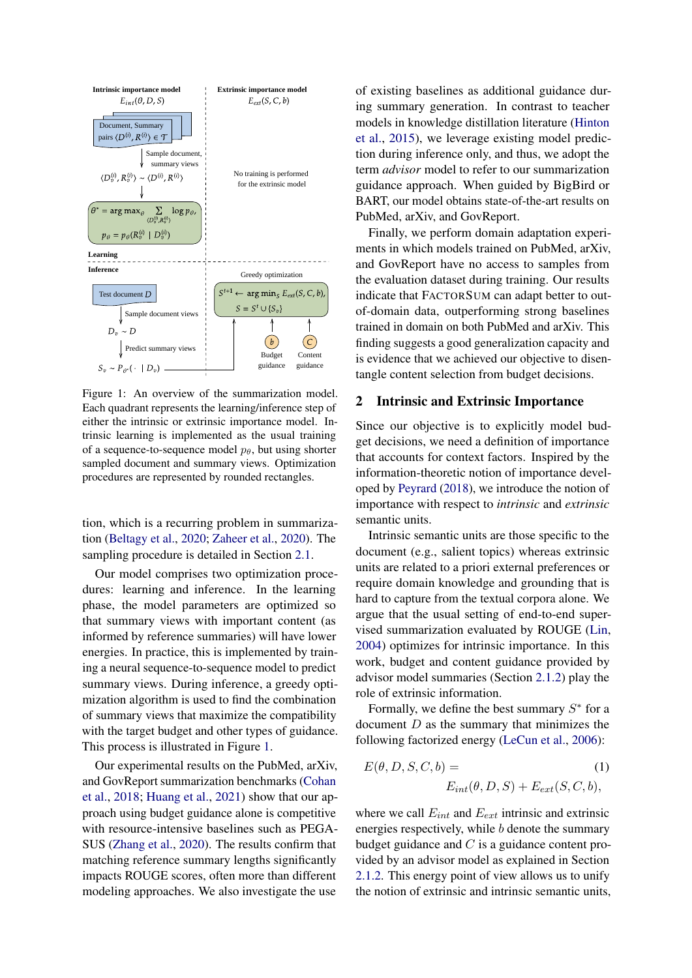<span id="page-1-0"></span>

Figure 1: An overview of the summarization model. Each quadrant represents the learning/inference step of either the intrinsic or extrinsic importance model. Intrinsic learning is implemented as the usual training of a sequence-to-sequence model  $p_{\theta}$ , but using shorter sampled document and summary views. Optimization procedures are represented by rounded rectangles.

tion, which is a recurring problem in summarization [\(Beltagy et al.,](#page-8-4) [2020;](#page-8-4) [Zaheer et al.,](#page-9-2) [2020\)](#page-9-2). The sampling procedure is detailed in Section [2.1.](#page-2-0)

Our model comprises two optimization procedures: learning and inference. In the learning phase, the model parameters are optimized so that summary views with important content (as informed by reference summaries) will have lower energies. In practice, this is implemented by training a neural sequence-to-sequence model to predict summary views. During inference, a greedy optimization algorithm is used to find the combination of summary views that maximize the compatibility with the target budget and other types of guidance. This process is illustrated in Figure [1.](#page-1-0)

Our experimental results on the PubMed, arXiv, and GovReport summarization benchmarks [\(Cohan](#page-8-2) [et al.,](#page-8-2) [2018;](#page-8-2) [Huang et al.,](#page-8-5) [2021\)](#page-8-5) show that our approach using budget guidance alone is competitive with resource-intensive baselines such as PEGA-SUS [\(Zhang et al.,](#page-9-0) [2020\)](#page-9-0). The results confirm that matching reference summary lengths significantly impacts ROUGE scores, often more than different modeling approaches. We also investigate the use

of existing baselines as additional guidance during summary generation. In contrast to teacher models in knowledge distillation literature [\(Hinton](#page-8-6) [et al.,](#page-8-6) [2015\)](#page-8-6), we leverage existing model prediction during inference only, and thus, we adopt the term *advisor* model to refer to our summarization guidance approach. When guided by BigBird or BART, our model obtains state-of-the-art results on PubMed, arXiv, and GovReport.

Finally, we perform domain adaptation experiments in which models trained on PubMed, arXiv, and GovReport have no access to samples from the evaluation dataset during training. Our results indicate that FACTORSUM can adapt better to outof-domain data, outperforming strong baselines trained in domain on both PubMed and arXiv. This finding suggests a good generalization capacity and is evidence that we achieved our objective to disentangle content selection from budget decisions.

#### <span id="page-1-2"></span>2 Intrinsic and Extrinsic Importance

Since our objective is to explicitly model budget decisions, we need a definition of importance that accounts for context factors. Inspired by the information-theoretic notion of importance developed by [Peyrard](#page-9-3) [\(2018\)](#page-9-3), we introduce the notion of importance with respect to *intrinsic* and *extrinsic* semantic units.

Intrinsic semantic units are those specific to the document (e.g., salient topics) whereas extrinsic units are related to a priori external preferences or require domain knowledge and grounding that is hard to capture from the textual corpora alone. We argue that the usual setting of end-to-end supervised summarization evaluated by ROUGE [\(Lin,](#page-8-7) [2004\)](#page-8-7) optimizes for intrinsic importance. In this work, budget and content guidance provided by advisor model summaries (Section [2.1.2\)](#page-3-0) play the role of extrinsic information.

Formally, we define the best summary  $S^*$  for a document  $D$  as the summary that minimizes the following factorized energy [\(LeCun et al.,](#page-8-3) [2006\)](#page-8-3):

<span id="page-1-1"></span>
$$
E(\theta, D, S, C, b) =
$$
  
\n
$$
E_{int}(\theta, D, S) + E_{ext}(S, C, b),
$$
  
\n(1)

where we call  $E_{int}$  and  $E_{ext}$  intrinsic and extrinsic energies respectively, while  $b$  denote the summary budget guidance and  $C$  is a guidance content provided by an advisor model as explained in Section [2.1.2.](#page-3-0) This energy point of view allows us to unify the notion of extrinsic and intrinsic semantic units,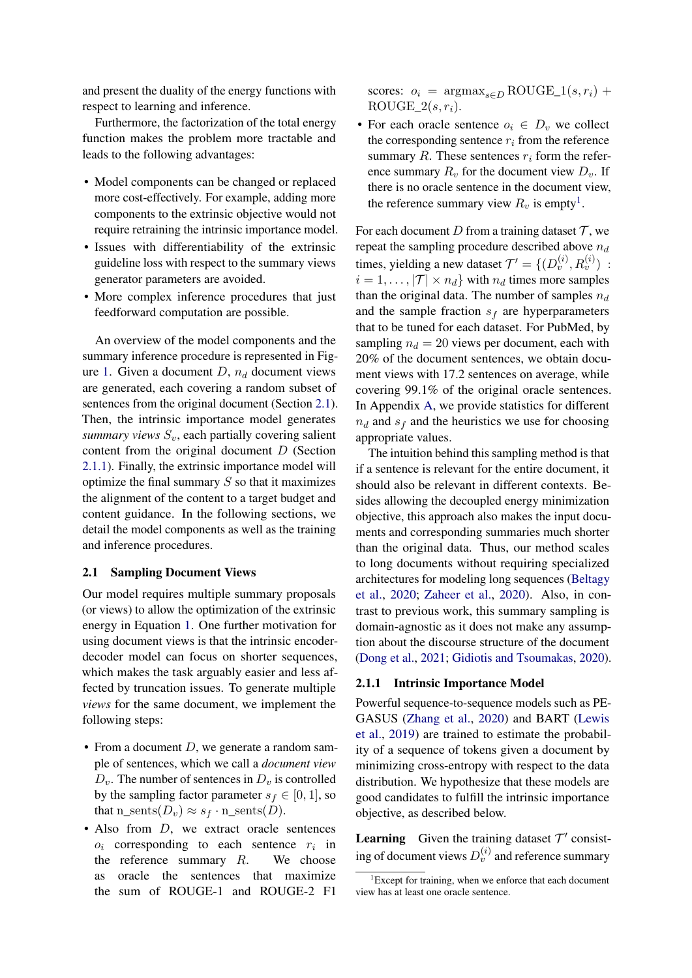and present the duality of the energy functions with respect to learning and inference.

Furthermore, the factorization of the total energy function makes the problem more tractable and leads to the following advantages:

- Model components can be changed or replaced more cost-effectively. For example, adding more components to the extrinsic objective would not require retraining the intrinsic importance model.
- Issues with differentiability of the extrinsic guideline loss with respect to the summary views generator parameters are avoided.
- More complex inference procedures that just feedforward computation are possible.

An overview of the model components and the summary inference procedure is represented in Fig-ure [1.](#page-1-0) Given a document  $D$ ,  $n_d$  document views are generated, each covering a random subset of sentences from the original document (Section [2.1\)](#page-2-0). Then, the intrinsic importance model generates *summary views*  $S_v$ , each partially covering salient content from the original document D (Section [2.1.1\)](#page-2-1). Finally, the extrinsic importance model will optimize the final summary  $S$  so that it maximizes the alignment of the content to a target budget and content guidance. In the following sections, we detail the model components as well as the training and inference procedures.

#### <span id="page-2-0"></span>2.1 Sampling Document Views

Our model requires multiple summary proposals (or views) to allow the optimization of the extrinsic energy in Equation [1.](#page-1-1) One further motivation for using document views is that the intrinsic encoderdecoder model can focus on shorter sequences, which makes the task arguably easier and less affected by truncation issues. To generate multiple *views* for the same document, we implement the following steps:

- From a document  $D$ , we generate a random sample of sentences, which we call a *document view*  $D_v$ . The number of sentences in  $D_v$  is controlled by the sampling factor parameter  $s_f \in [0, 1]$ , so that n\_sents $(D_v) \approx s_f \cdot n$ \_sents $(D)$ .
- $\bullet$  Also from  $D$ , we extract oracle sentences  $o_i$  corresponding to each sentence  $r_i$  in the reference summary  $R$ . We choose as oracle the sentences that maximize the sum of ROUGE-1 and ROUGE-2 F1

scores:  $o_i$  =  $\arg \max_{s \in D} \text{ROUGE}\_1(s, r_i)$  +  $ROUGE_2(s, r_i)$ .

• For each oracle sentence  $o_i \in D_v$  we collect the corresponding sentence  $r_i$  from the reference summary  $R$ . These sentences  $r_i$  form the reference summary  $R_v$  for the document view  $D_v$ . If there is no oracle sentence in the document view, the reference summary view  $R_v$  is empty<sup>[1](#page-2-2)</sup>.

For each document D from a training dataset  $\mathcal T$ , we repeat the sampling procedure described above  $n_d$ times, yielding a new dataset  $\mathcal{T}' = \{ (D_v^{(i)}, R_v^{(i)}) \; : \;$  $i = 1, \ldots, |\mathcal{T}| \times n_d$  with  $n_d$  times more samples than the original data. The number of samples  $n_d$ and the sample fraction  $s_f$  are hyperparameters that to be tuned for each dataset. For PubMed, by sampling  $n_d = 20$  views per document, each with 20% of the document sentences, we obtain document views with 17.2 sentences on average, while covering 99.1% of the original oracle sentences. In Appendix [A,](#page-10-0) we provide statistics for different  $n_d$  and  $s_f$  and the heuristics we use for choosing appropriate values.

The intuition behind this sampling method is that if a sentence is relevant for the entire document, it should also be relevant in different contexts. Besides allowing the decoupled energy minimization objective, this approach also makes the input documents and corresponding summaries much shorter than the original data. Thus, our method scales to long documents without requiring specialized architectures for modeling long sequences [\(Beltagy](#page-8-4) [et al.,](#page-8-4) [2020;](#page-8-4) [Zaheer et al.,](#page-9-2) [2020\)](#page-9-2). Also, in contrast to previous work, this summary sampling is domain-agnostic as it does not make any assumption about the discourse structure of the document [\(Dong et al.,](#page-8-8) [2021;](#page-8-8) [Gidiotis and Tsoumakas,](#page-8-9) [2020\)](#page-8-9).

#### <span id="page-2-1"></span>2.1.1 Intrinsic Importance Model

Powerful sequence-to-sequence models such as PE-GASUS [\(Zhang et al.,](#page-9-0) [2020\)](#page-9-0) and BART [\(Lewis](#page-8-0) [et al.,](#page-8-0) [2019\)](#page-8-0) are trained to estimate the probability of a sequence of tokens given a document by minimizing cross-entropy with respect to the data distribution. We hypothesize that these models are good candidates to fulfill the intrinsic importance objective, as described below.

**Learning** Given the training dataset  $T'$  consisting of document views  $D_v^{(i)}$  and reference summary

<span id="page-2-2"></span> ${}^{1}$ Except for training, when we enforce that each document view has at least one oracle sentence.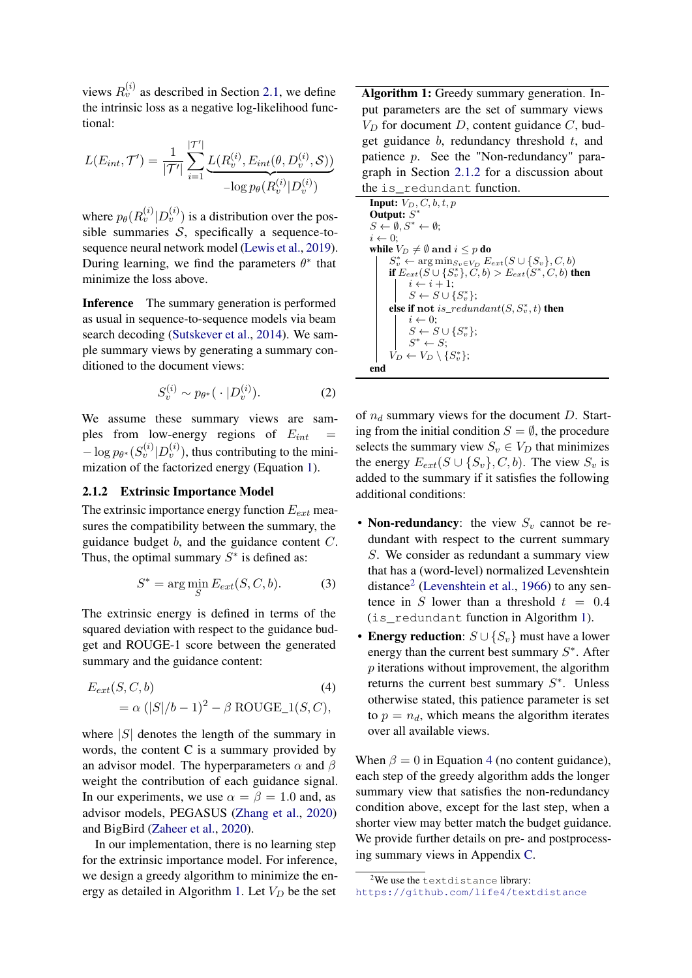views  $R_v^{(i)}$  as described in Section [2.1,](#page-2-0) we define the intrinsic loss as a negative log-likelihood functional:

$$
L(E_{int}, \mathcal{T}') = \frac{1}{|\mathcal{T}'|} \sum_{i=1}^{|\mathcal{T}'|} \underbrace{L(R_v^{(i)}, E_{int}(\theta, D_v^{(i)}, \mathcal{S}))}_{-\log p_{\theta}(R_v^{(i)} | D_v^{(i)})}
$$

where  $p_{\theta}(R_v^{(i)} | D_v^{(i)})$  is a distribution over the possible summaries  $S$ , specifically a sequence-tosequence neural network model [\(Lewis et al.,](#page-8-0) [2019\)](#page-8-0). During learning, we find the parameters  $\theta^*$  that minimize the loss above.

Inference The summary generation is performed as usual in sequence-to-sequence models via beam search decoding [\(Sutskever et al.,](#page-9-4) [2014\)](#page-9-4). We sample summary views by generating a summary conditioned to the document views:

$$
S_v^{(i)} \sim p_{\theta^*}(\cdot | D_v^{(i)}).
$$
 (2)

We assume these summary views are samples from low-energy regions of  $E_{int}$  =  $-\log p_{\theta^*}(S_v^{(i)} | D_v^{(i)})$ , thus contributing to the minimization of the factorized energy (Equation [1\)](#page-1-1).

#### <span id="page-3-0"></span>2.1.2 Extrinsic Importance Model

The extrinsic importance energy function  $E_{ext}$  measures the compatibility between the summary, the guidance budget  $b$ , and the guidance content  $C$ . Thus, the optimal summary  $S^*$  is defined as:

$$
S^* = \arg\min_{S} E_{ext}(S, C, b). \tag{3}
$$

The extrinsic energy is defined in terms of the squared deviation with respect to the guidance budget and ROUGE-1 score between the generated summary and the guidance content:

$$
E_{ext}(S, C, b)
$$
\n
$$
= \alpha (|S|/b - 1)^2 - \beta \text{ROUGE}_1(S, C),
$$
\n(4)

where  $|S|$  denotes the length of the summary in words, the content C is a summary provided by an advisor model. The hyperparameters  $\alpha$  and  $\beta$ weight the contribution of each guidance signal. In our experiments, we use  $\alpha = \beta = 1.0$  and, as advisor models, PEGASUS [\(Zhang et al.,](#page-9-0) [2020\)](#page-9-0) and BigBird [\(Zaheer et al.,](#page-9-2) [2020\)](#page-9-2).

In our implementation, there is no learning step for the extrinsic importance model. For inference, we design a greedy algorithm to minimize the en-ergy as detailed in Algorithm [1.](#page-3-1) Let  $V_D$  be the set

Algorithm 1: Greedy summary generation. Input parameters are the set of summary views  $V_D$  for document D, content guidance C, budget guidance  $b$ , redundancy threshold  $t$ , and patience p. See the "Non-redundancy" paragraph in Section [2.1.2](#page-3-0) for a discussion about the is\_redundant function.

| <b>Input:</b> $V_D, C, b, t, p$                                          |
|--------------------------------------------------------------------------|
| Output: $S^*$                                                            |
| $S \leftarrow \emptyset$ , $S^* \leftarrow \emptyset$ ;                  |
| $i \leftarrow 0$ :                                                       |
| while $V_D \neq \emptyset$ and $i \leq p$ do                             |
| $S_v^* \leftarrow \arg \min_{S_v \in V_D} E_{ext}(S \cup \{S_v\}, C, b)$ |
| if $E_{ext}(S \cup \{S_v^*\}, C, b) > E_{ext}(S^*, C, b)$ then           |
| $i \leftarrow i+1$ ;                                                     |
| $S \leftarrow S \cup \{S_v^*\};$                                         |
| else if not is_redundant $(S, S_v^*, t)$ then                            |
| $i \leftarrow 0$ ;                                                       |
| $S \leftarrow S \cup \{S_v^*\};$                                         |
| $S^* \leftarrow S;$                                                      |
| $V_D \leftarrow V_D \setminus \{S_v^*\};$                                |
| end                                                                      |

<span id="page-3-1"></span>of  $n_d$  summary views for the document D. Starting from the initial condition  $S = \emptyset$ , the procedure selects the summary view  $S_v \in V_D$  that minimizes the energy  $E_{ext}(S \cup \{S_v\}, C, b)$ . The view  $S_v$  is added to the summary if it satisfies the following additional conditions:

- Non-redundancy: the view  $S_v$  cannot be redundant with respect to the current summary S. We consider as redundant a summary view that has a (word-level) normalized Levenshtein distance<sup>[2](#page-3-2)</sup> [\(Levenshtein et al.,](#page-8-10) [1966\)](#page-8-10) to any sentence in S lower than a threshold  $t = 0.4$ (is\_redundant function in Algorithm [1\)](#page-3-1).
- <span id="page-3-3"></span>• Energy reduction:  $S \cup \{S_v\}$  must have a lower energy than the current best summary  $S^*$ . After  $p$  iterations without improvement, the algorithm returns the current best summary  $S^*$ . Unless otherwise stated, this patience parameter is set to  $p = n_d$ , which means the algorithm iterates over all available views.

When  $\beta = 0$  in Equation [4](#page-3-3) (no content guidance), each step of the greedy algorithm adds the longer summary view that satisfies the non-redundancy condition above, except for the last step, when a shorter view may better match the budget guidance. We provide further details on pre- and postprocessing summary views in Appendix [C.](#page-11-0)

<span id="page-3-2"></span> $2$ We use the textdistance library: <https://github.com/life4/textdistance>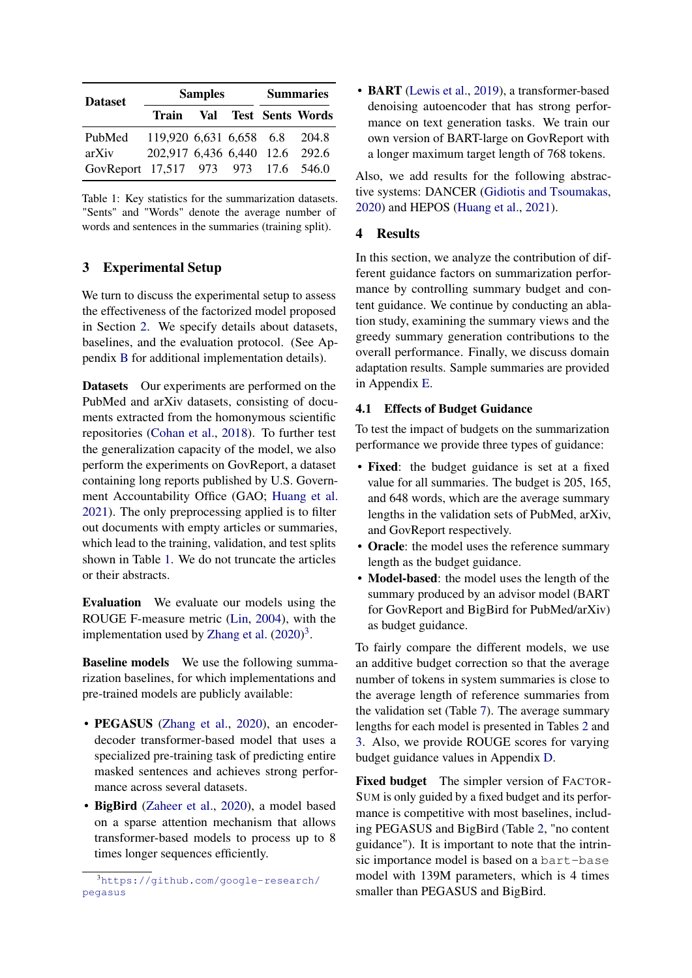<span id="page-4-1"></span>

| <b>Dataset</b>                      |                                | <b>Samples</b> | <b>Summaries</b> |  |                            |  |
|-------------------------------------|--------------------------------|----------------|------------------|--|----------------------------|--|
|                                     |                                |                |                  |  | Train Val Test Sents Words |  |
| PubMed                              | 119,920 6,631 6,658 6.8 204.8  |                |                  |  |                            |  |
| arXiv                               | 202,917 6,436 6,440 12.6 292.6 |                |                  |  |                            |  |
| GovReport 17,517 973 973 17.6 546.0 |                                |                |                  |  |                            |  |

Table 1: Key statistics for the summarization datasets. "Sents" and "Words" denote the average number of words and sentences in the summaries (training split).

# <span id="page-4-3"></span>3 Experimental Setup

We turn to discuss the experimental setup to assess the effectiveness of the factorized model proposed in Section [2.](#page-1-2) We specify details about datasets, baselines, and the evaluation protocol. (See Appendix [B](#page-10-1) for additional implementation details).

Datasets Our experiments are performed on the PubMed and arXiv datasets, consisting of documents extracted from the homonymous scientific repositories [\(Cohan et al.,](#page-8-2) [2018\)](#page-8-2). To further test the generalization capacity of the model, we also perform the experiments on GovReport, a dataset containing long reports published by U.S. Government Accountability Office (GAO; [Huang et al.](#page-8-5) [2021\)](#page-8-5). The only preprocessing applied is to filter out documents with empty articles or summaries, which lead to the training, validation, and test splits shown in Table [1.](#page-4-1) We do not truncate the articles or their abstracts.

Evaluation We evaluate our models using the ROUGE F-measure metric [\(Lin,](#page-8-7) [2004\)](#page-8-7), with the implementation used by [Zhang et al.](#page-9-0)  $(2020)^3$  $(2020)^3$  $(2020)^3$ .

Baseline models We use the following summarization baselines, for which implementations and pre-trained models are publicly available:

- PEGASUS [\(Zhang et al.,](#page-9-0) [2020\)](#page-9-0), an encoderdecoder transformer-based model that uses a specialized pre-training task of predicting entire masked sentences and achieves strong performance across several datasets.
- BigBird [\(Zaheer et al.,](#page-9-2) [2020\)](#page-9-2), a model based on a sparse attention mechanism that allows transformer-based models to process up to 8 times longer sequences efficiently.

• **BART** [\(Lewis et al.,](#page-8-0) [2019\)](#page-8-0), a transformer-based denoising autoencoder that has strong performance on text generation tasks. We train our own version of BART-large on GovReport with a longer maximum target length of 768 tokens.

Also, we add results for the following abstractive systems: DANCER [\(Gidiotis and Tsoumakas,](#page-8-9) [2020\)](#page-8-9) and HEPOS [\(Huang et al.,](#page-8-5) [2021\)](#page-8-5).

#### <span id="page-4-4"></span>4 Results

In this section, we analyze the contribution of different guidance factors on summarization performance by controlling summary budget and content guidance. We continue by conducting an ablation study, examining the summary views and the greedy summary generation contributions to the overall performance. Finally, we discuss domain adaptation results. Sample summaries are provided in Appendix [E.](#page-12-0)

#### <span id="page-4-0"></span>4.1 Effects of Budget Guidance

To test the impact of budgets on the summarization performance we provide three types of guidance:

- Fixed: the budget guidance is set at a fixed value for all summaries. The budget is 205, 165, and 648 words, which are the average summary lengths in the validation sets of PubMed, arXiv, and GovReport respectively.
- Oracle: the model uses the reference summary length as the budget guidance.
- Model-based: the model uses the length of the summary produced by an advisor model (BART for GovReport and BigBird for PubMed/arXiv) as budget guidance.

To fairly compare the different models, we use an additive budget correction so that the average number of tokens in system summaries is close to the average length of reference summaries from the validation set (Table [7\)](#page-11-1). The average summary lengths for each model is presented in Tables [2](#page-5-0) and [3.](#page-5-1) Also, we provide ROUGE scores for varying budget guidance values in Appendix [D.](#page-12-1)

Fixed budget The simpler version of FACTOR-SUM is only guided by a fixed budget and its performance is competitive with most baselines, including PEGASUS and BigBird (Table [2,](#page-5-0) "no content guidance"). It is important to note that the intrinsic importance model is based on a bart-base model with 139M parameters, which is 4 times smaller than PEGASUS and BigBird.

<span id="page-4-2"></span><sup>3</sup>[https://github.com/google-research/](https://github.com/google-research/pegasus) [pegasus](https://github.com/google-research/pegasus)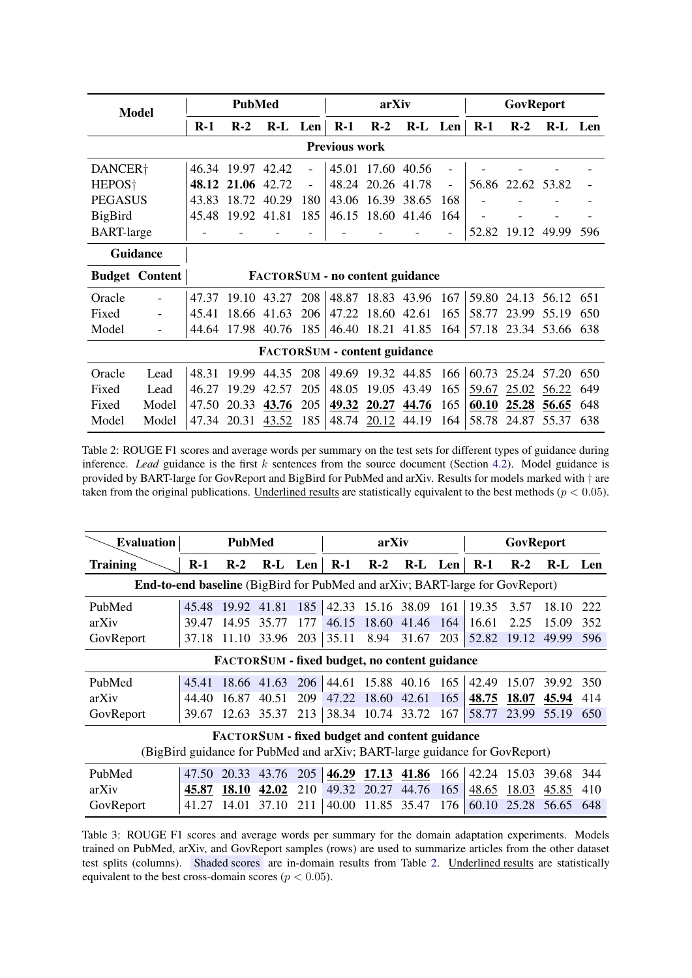<span id="page-5-0"></span>

| <b>Model</b>         |                                     |       | <b>PubMed</b> |         |                          |                                        | arXiv       |         |                   |       | GovReport   |             |     |
|----------------------|-------------------------------------|-------|---------------|---------|--------------------------|----------------------------------------|-------------|---------|-------------------|-------|-------------|-------------|-----|
|                      |                                     | $R-1$ | $R-2$         | R-L Len |                          | $R-1$                                  | $R-2$       | R-L Len |                   | $R-1$ | $R-2$       | R-L Len     |     |
| <b>Previous work</b> |                                     |       |               |         |                          |                                        |             |         |                   |       |             |             |     |
| DANCER <sup>+</sup>  |                                     | 46.34 | 19.97         | 42.42   |                          | 45.01                                  | 17.60       | 40.56   | $\blacksquare$    |       |             |             |     |
| HEPOS <sup>†</sup>   |                                     | 48.12 | 21.06         | 42.72   | $\overline{\phantom{0}}$ | 48.24                                  | 20.26       | 41.78   | $\qquad \qquad -$ | 56.86 | 22.62 53.82 |             |     |
| <b>PEGASUS</b>       |                                     | 43.83 | 18.72         | 40.29   | 180                      | 43.06                                  | 16.39       | 38.65   | 168               |       |             |             |     |
| <b>BigBird</b>       |                                     | 45.48 | 19.92         | 41.81   | 185                      | 46.15                                  | 18.60       | 41.46   | 164               |       |             |             |     |
| <b>BART-large</b>    |                                     |       |               |         |                          |                                        |             |         |                   | 52.82 | 19.12       | 49.99       | 596 |
|                      | <b>Guidance</b>                     |       |               |         |                          |                                        |             |         |                   |       |             |             |     |
|                      | <b>Budget Content</b>               |       |               |         |                          | <b>FACTORSUM - no content guidance</b> |             |         |                   |       |             |             |     |
| Oracle               | $\overline{\phantom{0}}$            | 47.37 | 19.10         | 43.27   | 208                      | 48.87                                  | 18.83 43.96 |         | 167               | 59.80 |             | 24.13 56.12 | 651 |
| Fixed                |                                     | 45.41 | 18.66         | 41.63   | 206                      | 47.22                                  | 18.60       | 42.61   | 165               | 58.77 | 23.99       | 55.19       | 650 |
| Model                | $\overline{\phantom{a}}$            | 44.64 | 17.98         | 40.76   | 185                      | 46.40                                  | 18.21       | 41.85   | 164               | 57.18 |             | 23.34 53.66 | 638 |
|                      | <b>FACTORSUM - content guidance</b> |       |               |         |                          |                                        |             |         |                   |       |             |             |     |
| Oracle               | Lead                                | 48.31 | 19.99         | 44.35   | 208                      | 49.69                                  | 19.32 44.85 |         | 166               | 60.73 | 25.24       | 57.20       | 650 |
| Fixed                | Lead                                | 46.27 | 19.29         | 42.57   | 205                      | 48.05                                  | 19.05       | 43.49   | 165               | 59.67 | 25.02       | 56.22       | 649 |
| Fixed                | Model                               | 47.50 | 20.33         | 43.76   | 205                      | 49.32                                  | 20.27       | 44.76   | 165               | 60.10 | 25.28       | 56.65       | 648 |
| Model                | Model                               | 47.34 | 20.31         | 43.52   | 185                      | 48.74                                  | 20.12       | 44.19   | 164               | 58.78 | 24.87       | 55.37       | 638 |

Table 2: ROUGE F1 scores and average words per summary on the test sets for different types of guidance during inference. *Lead* guidance is the first  $k$  sentences from the source document (Section [4.2\)](#page-6-0). Model guidance is provided by BART-large for GovReport and BigBird for PubMed and arXiv. Results for models marked with † are taken from the original publications. Underlined results are statistically equivalent to the best methods ( $p < 0.05$ ).

<span id="page-5-1"></span>

| <b>Evaluation</b>                                                                   | <b>PubMed</b> |       |             | arXiv |                                                      |                   | GovReport |     |       |       |       |       |
|-------------------------------------------------------------------------------------|---------------|-------|-------------|-------|------------------------------------------------------|-------------------|-----------|-----|-------|-------|-------|-------|
| Training                                                                            | $R-1$         | $R-2$ | R-L Len     |       | $R-1$                                                | $R-2$             | $R-I$     | Len | $R-1$ | $R-2$ | $R-I$ | - Len |
| <b>End-to-end baseline</b> (BigBird for PubMed and arXiv; BART-large for GovReport) |               |       |             |       |                                                      |                   |           |     |       |       |       |       |
| PubMed                                                                              | 45.48         | 19.92 | 41.81       | 185   | 42.33                                                | 15.16 38.09       |           | 161 | 19.35 | 3.57  | 18.10 | 222   |
| arXiv                                                                               | 39.47         | 14.95 | 35.77       | 177   | 46.15                                                | 18.60             | 41.46     | 164 | 16.61 | 2.25  | 15.09 | 352   |
| GovReport                                                                           | 37.18         | 11.10 | 33.96       | 203   | 35.11                                                | 8.94              | 31.67     | 203 | 52.82 | 19.12 | 49.99 | 596   |
| <b>FACTORSUM - fixed budget, no content guidance</b>                                |               |       |             |       |                                                      |                   |           |     |       |       |       |       |
| PubMed                                                                              | 45.41         |       | 18.66 41.63 | 206   |                                                      | 44.61 15.88 40.16 |           | 165 | 42.49 | 15.07 | 39.92 | 350   |
| arXiv                                                                               | 44.40         | 16.87 | 40.51       | 209   | 47.22                                                | 18.60             | 42.61     | 165 | 48.75 | 18.07 | 45.94 | 414   |
| GovReport                                                                           | 39.67         | 12.63 | 35.37       | 213   | 38.34                                                | 10.74             | 33.72     | 167 | 58.77 | 23.99 | 55.19 | 650   |
|                                                                                     |               |       |             |       | <b>FACTORSUM - fixed budget and content guidance</b> |                   |           |     |       |       |       |       |
| (BigBird guidance for PubMed and arXiv; BART-large guidance for GovReport)          |               |       |             |       |                                                      |                   |           |     |       |       |       |       |
| PubMed                                                                              | 47.50         | 20.33 | 43.76       | 205   | 46.29                                                | 17.13             | 41.86     | 166 | 42.24 | 15.03 | 39.68 | 344   |
| arXiv                                                                               | 45.87         | 18.10 | 42.02       | 210   | 49.32                                                | 20.27             | 44.76     | 165 | 48.65 | 18.03 | 45.85 | 410   |
| GovReport                                                                           | 41.27         | 14.01 | 37.10       | 211   | 40.00                                                | 11.85             | 35.47     | 176 | 60.10 | 25.28 | 56.65 | 648   |

Table 3: ROUGE F1 scores and average words per summary for the domain adaptation experiments. Models trained on PubMed, arXiv, and GovReport samples (rows) are used to summarize articles from the other dataset test splits (columns). Shaded scores are in-domain results from Table [2.](#page-5-0) Underlined results are statistically equivalent to the best cross-domain scores ( $p < 0.05$ ).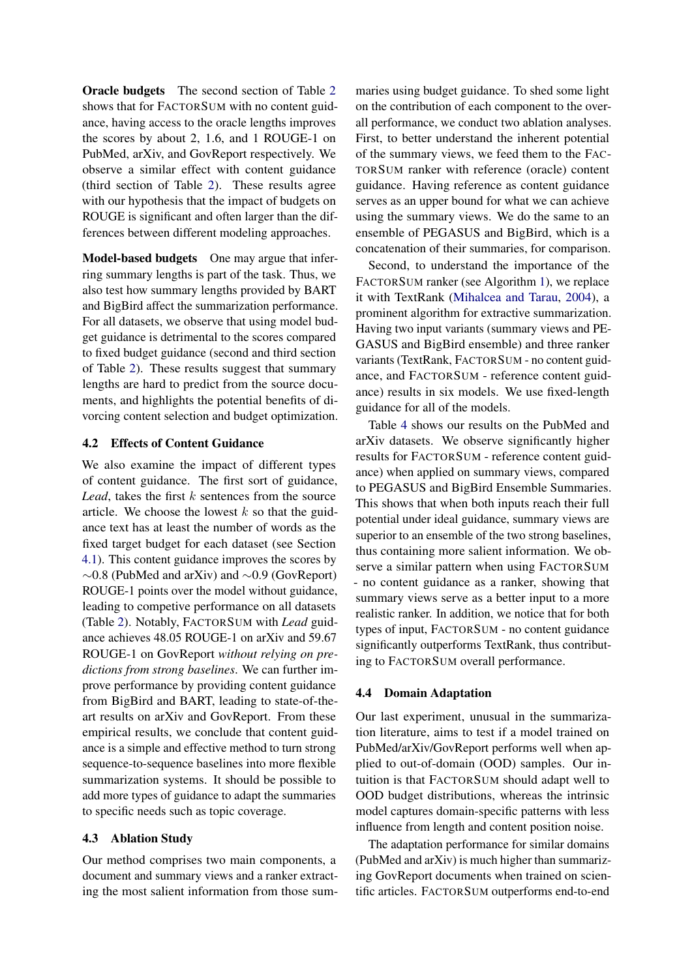Oracle budgets The second section of Table [2](#page-5-0) shows that for FACTORSUM with no content guidance, having access to the oracle lengths improves the scores by about 2, 1.6, and 1 ROUGE-1 on PubMed, arXiv, and GovReport respectively. We observe a similar effect with content guidance (third section of Table [2\)](#page-5-0). These results agree with our hypothesis that the impact of budgets on ROUGE is significant and often larger than the differences between different modeling approaches.

Model-based budgets One may argue that inferring summary lengths is part of the task. Thus, we also test how summary lengths provided by BART and BigBird affect the summarization performance. For all datasets, we observe that using model budget guidance is detrimental to the scores compared to fixed budget guidance (second and third section of Table [2\)](#page-5-0). These results suggest that summary lengths are hard to predict from the source documents, and highlights the potential benefits of divorcing content selection and budget optimization.

#### <span id="page-6-0"></span>4.2 Effects of Content Guidance

We also examine the impact of different types of content guidance. The first sort of guidance, *Lead*, takes the first  $k$  sentences from the source article. We choose the lowest  $k$  so that the guidance text has at least the number of words as the fixed target budget for each dataset (see Section [4.1\)](#page-4-0). This content guidance improves the scores by ∼0.8 (PubMed and arXiv) and ∼0.9 (GovReport) ROUGE-1 points over the model without guidance, leading to competive performance on all datasets (Table [2\)](#page-5-0). Notably, FACTORSUM with *Lead* guidance achieves 48.05 ROUGE-1 on arXiv and 59.67 ROUGE-1 on GovReport *without relying on predictions from strong baselines*. We can further improve performance by providing content guidance from BigBird and BART, leading to state-of-theart results on arXiv and GovReport. From these empirical results, we conclude that content guidance is a simple and effective method to turn strong sequence-to-sequence baselines into more flexible summarization systems. It should be possible to add more types of guidance to adapt the summaries to specific needs such as topic coverage.

#### 4.3 Ablation Study

Our method comprises two main components, a document and summary views and a ranker extracting the most salient information from those summaries using budget guidance. To shed some light on the contribution of each component to the overall performance, we conduct two ablation analyses. First, to better understand the inherent potential of the summary views, we feed them to the FAC-TORSUM ranker with reference (oracle) content guidance. Having reference as content guidance serves as an upper bound for what we can achieve using the summary views. We do the same to an ensemble of PEGASUS and BigBird, which is a concatenation of their summaries, for comparison.

Second, to understand the importance of the FACTORSUM ranker (see Algorithm [1\)](#page-3-1), we replace it with TextRank [\(Mihalcea and Tarau,](#page-8-11) [2004\)](#page-8-11), a prominent algorithm for extractive summarization. Having two input variants (summary views and PE-GASUS and BigBird ensemble) and three ranker variants (TextRank, FACTORSUM - no content guidance, and FACTORSUM - reference content guidance) results in six models. We use fixed-length guidance for all of the models.

Table [4](#page-7-0) shows our results on the PubMed and arXiv datasets. We observe significantly higher results for FACTORSUM - reference content guidance) when applied on summary views, compared to PEGASUS and BigBird Ensemble Summaries. This shows that when both inputs reach their full potential under ideal guidance, summary views are superior to an ensemble of the two strong baselines, thus containing more salient information. We observe a similar pattern when using FACTORSUM - no content guidance as a ranker, showing that summary views serve as a better input to a more realistic ranker. In addition, we notice that for both types of input, FACTORSUM - no content guidance significantly outperforms TextRank, thus contributing to FACTORSUM overall performance.

#### 4.4 Domain Adaptation

Our last experiment, unusual in the summarization literature, aims to test if a model trained on PubMed/arXiv/GovReport performs well when applied to out-of-domain (OOD) samples. Our intuition is that FACTORSUM should adapt well to OOD budget distributions, whereas the intrinsic model captures domain-specific patterns with less influence from length and content position noise.

The adaptation performance for similar domains (PubMed and arXiv) is much higher than summarizing GovReport documents when trained on scientific articles. FACTORSUM outperforms end-to-end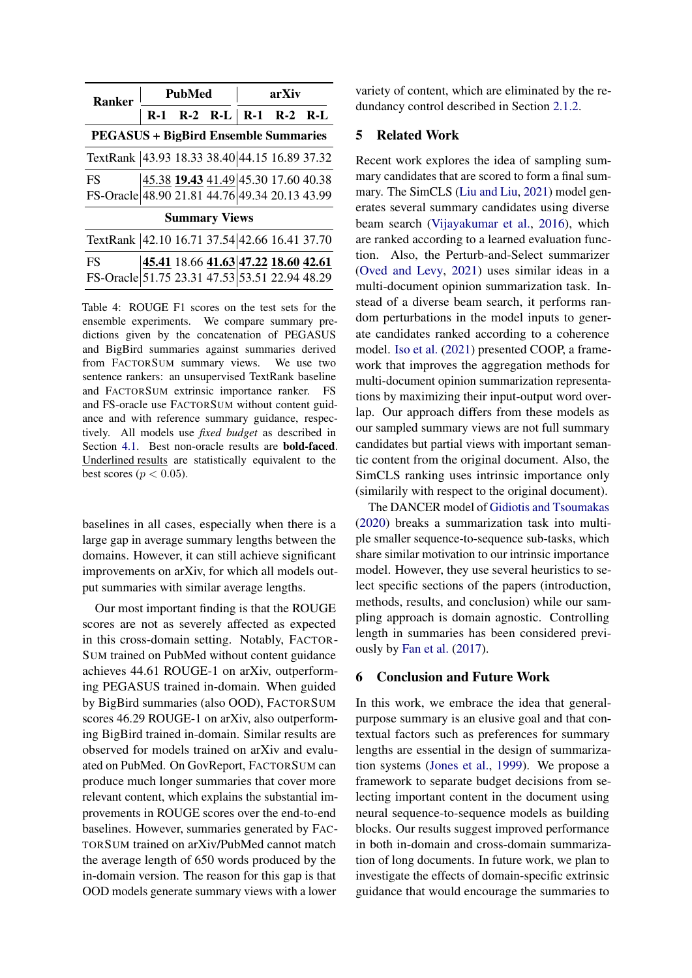<span id="page-7-0"></span>

| <b>Ranker</b>                                 |  | <b>PubMed</b> |                                     | arXiv |  |  |  |
|-----------------------------------------------|--|---------------|-------------------------------------|-------|--|--|--|
|                                               |  |               | $R-1$ $R-2$ $R-L$ $R-1$ $R-2$ $R-L$ |       |  |  |  |
| <b>PEGASUS + BigBird Ensemble Summaries</b>   |  |               |                                     |       |  |  |  |
| TextRank 43.93 18.33 38.40 44.15 16.89 37.32  |  |               |                                     |       |  |  |  |
| <b>FS</b>                                     |  |               | 45.38 19.43 41.49 45.30 17.60 40.38 |       |  |  |  |
| FS-Oracle 48.90 21.81 44.76 49.34 20.13 43.99 |  |               |                                     |       |  |  |  |
| <b>Summary Views</b>                          |  |               |                                     |       |  |  |  |
| TextRank 42.10 16.71 37.54 42.66 16.41 37.70  |  |               |                                     |       |  |  |  |
| <b>FS</b>                                     |  |               | 45.41 18.66 41.63 47.22 18.60 42.61 |       |  |  |  |
| FS-Oracle 51.75 23.31 47.53 53.51 22.94 48.29 |  |               |                                     |       |  |  |  |

Table 4: ROUGE F1 scores on the test sets for the ensemble experiments. We compare summary predictions given by the concatenation of PEGASUS and BigBird summaries against summaries derived from FACTORSUM summary views. We use two sentence rankers: an unsupervised TextRank baseline and FACTORSUM extrinsic importance ranker. FS and FS-oracle use FACTORSUM without content guidance and with reference summary guidance, respectively. All models use *fixed budget* as described in Section [4.1.](#page-4-0) Best non-oracle results are **bold-faced**. Underlined results are statistically equivalent to the best scores ( $p < 0.05$ ).

baselines in all cases, especially when there is a large gap in average summary lengths between the domains. However, it can still achieve significant improvements on arXiv, for which all models output summaries with similar average lengths.

Our most important finding is that the ROUGE scores are not as severely affected as expected in this cross-domain setting. Notably, FACTOR-SUM trained on PubMed without content guidance achieves 44.61 ROUGE-1 on arXiv, outperforming PEGASUS trained in-domain. When guided by BigBird summaries (also OOD), FACTORSUM scores 46.29 ROUGE-1 on arXiv, also outperforming BigBird trained in-domain. Similar results are observed for models trained on arXiv and evaluated on PubMed. On GovReport, FACTORSUM can produce much longer summaries that cover more relevant content, which explains the substantial improvements in ROUGE scores over the end-to-end baselines. However, summaries generated by FAC-TORSUM trained on arXiv/PubMed cannot match the average length of 650 words produced by the in-domain version. The reason for this gap is that OOD models generate summary views with a lower

variety of content, which are eliminated by the redundancy control described in Section [2.1.2.](#page-3-0)

## 5 Related Work

Recent work explores the idea of sampling summary candidates that are scored to form a final summary. The SimCLS [\(Liu and Liu,](#page-8-12) [2021\)](#page-8-12) model generates several summary candidates using diverse beam search [\(Vijayakumar et al.,](#page-9-5) [2016\)](#page-9-5), which are ranked according to a learned evaluation function. Also, the Perturb-and-Select summarizer [\(Oved and Levy,](#page-8-13) [2021\)](#page-8-13) uses similar ideas in a multi-document opinion summarization task. Instead of a diverse beam search, it performs random perturbations in the model inputs to generate candidates ranked according to a coherence model. [Iso et al.](#page-8-14) [\(2021\)](#page-8-14) presented COOP, a framework that improves the aggregation methods for multi-document opinion summarization representations by maximizing their input-output word overlap. Our approach differs from these models as our sampled summary views are not full summary candidates but partial views with important semantic content from the original document. Also, the SimCLS ranking uses intrinsic importance only (similarily with respect to the original document).

The DANCER model of [Gidiotis and Tsoumakas](#page-8-9) [\(2020\)](#page-8-9) breaks a summarization task into multiple smaller sequence-to-sequence sub-tasks, which share similar motivation to our intrinsic importance model. However, they use several heuristics to select specific sections of the papers (introduction, methods, results, and conclusion) while our sampling approach is domain agnostic. Controlling length in summaries has been considered previously by [Fan et al.](#page-8-15) [\(2017\)](#page-8-15).

#### 6 Conclusion and Future Work

In this work, we embrace the idea that generalpurpose summary is an elusive goal and that contextual factors such as preferences for summary lengths are essential in the design of summarization systems [\(Jones et al.,](#page-8-1) [1999\)](#page-8-1). We propose a framework to separate budget decisions from selecting important content in the document using neural sequence-to-sequence models as building blocks. Our results suggest improved performance in both in-domain and cross-domain summarization of long documents. In future work, we plan to investigate the effects of domain-specific extrinsic guidance that would encourage the summaries to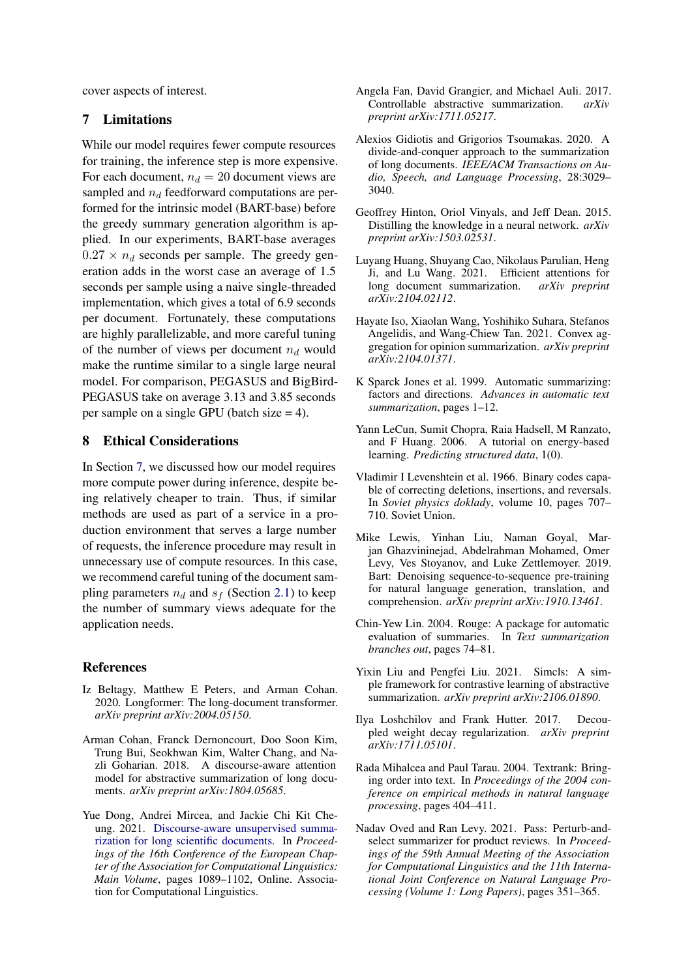cover aspects of interest.

#### <span id="page-8-16"></span>7 Limitations

While our model requires fewer compute resources for training, the inference step is more expensive. For each document,  $n_d = 20$  document views are sampled and  $n_d$  feedforward computations are performed for the intrinsic model (BART-base) before the greedy summary generation algorithm is applied. In our experiments, BART-base averages  $0.27 \times n_d$  seconds per sample. The greedy generation adds in the worst case an average of 1.5 seconds per sample using a naive single-threaded implementation, which gives a total of 6.9 seconds per document. Fortunately, these computations are highly parallelizable, and more careful tuning of the number of views per document  $n_d$  would make the runtime similar to a single large neural model. For comparison, PEGASUS and BigBird-PEGASUS take on average 3.13 and 3.85 seconds per sample on a single GPU (batch size = 4).

## 8 Ethical Considerations

In Section [7,](#page-8-16) we discussed how our model requires more compute power during inference, despite being relatively cheaper to train. Thus, if similar methods are used as part of a service in a production environment that serves a large number of requests, the inference procedure may result in unnecessary use of compute resources. In this case, we recommend careful tuning of the document sampling parameters  $n_d$  and  $s_f$  (Section [2.1\)](#page-2-0) to keep the number of summary views adequate for the application needs.

#### References

- <span id="page-8-4"></span>Iz Beltagy, Matthew E Peters, and Arman Cohan. 2020. Longformer: The long-document transformer. *arXiv preprint arXiv:2004.05150*.
- <span id="page-8-2"></span>Arman Cohan, Franck Dernoncourt, Doo Soon Kim, Trung Bui, Seokhwan Kim, Walter Chang, and Nazli Goharian. 2018. A discourse-aware attention model for abstractive summarization of long documents. *arXiv preprint arXiv:1804.05685*.
- <span id="page-8-8"></span>Yue Dong, Andrei Mircea, and Jackie Chi Kit Cheung. 2021. [Discourse-aware unsupervised summa](https://doi.org/10.18653/v1/2021.eacl-main.93)[rization for long scientific documents.](https://doi.org/10.18653/v1/2021.eacl-main.93) In *Proceedings of the 16th Conference of the European Chapter of the Association for Computational Linguistics: Main Volume*, pages 1089–1102, Online. Association for Computational Linguistics.
- <span id="page-8-15"></span>Angela Fan, David Grangier, and Michael Auli. 2017. Controllable abstractive summarization. *arXiv preprint arXiv:1711.05217*.
- <span id="page-8-9"></span>Alexios Gidiotis and Grigorios Tsoumakas. 2020. A divide-and-conquer approach to the summarization of long documents. *IEEE/ACM Transactions on Audio, Speech, and Language Processing*, 28:3029– 3040.
- <span id="page-8-6"></span>Geoffrey Hinton, Oriol Vinyals, and Jeff Dean. 2015. Distilling the knowledge in a neural network. *arXiv preprint arXiv:1503.02531*.
- <span id="page-8-5"></span>Luyang Huang, Shuyang Cao, Nikolaus Parulian, Heng Ji, and Lu Wang. 2021. Efficient attentions for long document summarization. *arXiv preprint arXiv:2104.02112*.
- <span id="page-8-14"></span>Hayate Iso, Xiaolan Wang, Yoshihiko Suhara, Stefanos Angelidis, and Wang-Chiew Tan. 2021. Convex aggregation for opinion summarization. *arXiv preprint arXiv:2104.01371*.
- <span id="page-8-1"></span>K Sparck Jones et al. 1999. Automatic summarizing: factors and directions. *Advances in automatic text summarization*, pages 1–12.
- <span id="page-8-3"></span>Yann LeCun, Sumit Chopra, Raia Hadsell, M Ranzato, and F Huang. 2006. A tutorial on energy-based learning. *Predicting structured data*, 1(0).
- <span id="page-8-10"></span>Vladimir I Levenshtein et al. 1966. Binary codes capable of correcting deletions, insertions, and reversals. In *Soviet physics doklady*, volume 10, pages 707– 710. Soviet Union.
- <span id="page-8-0"></span>Mike Lewis, Yinhan Liu, Naman Goyal, Marjan Ghazvininejad, Abdelrahman Mohamed, Omer Levy, Ves Stoyanov, and Luke Zettlemoyer. 2019. Bart: Denoising sequence-to-sequence pre-training for natural language generation, translation, and comprehension. *arXiv preprint arXiv:1910.13461*.
- <span id="page-8-7"></span>Chin-Yew Lin. 2004. Rouge: A package for automatic evaluation of summaries. In *Text summarization branches out*, pages 74–81.
- <span id="page-8-12"></span>Yixin Liu and Pengfei Liu. 2021. Simcls: A simple framework for contrastive learning of abstractive summarization. *arXiv preprint arXiv:2106.01890*.
- <span id="page-8-17"></span>Ilya Loshchilov and Frank Hutter. 2017. Decoupled weight decay regularization. *arXiv preprint arXiv:1711.05101*.
- <span id="page-8-11"></span>Rada Mihalcea and Paul Tarau. 2004. Textrank: Bringing order into text. In *Proceedings of the 2004 conference on empirical methods in natural language processing*, pages 404–411.
- <span id="page-8-13"></span>Nadav Oved and Ran Levy. 2021. Pass: Perturb-andselect summarizer for product reviews. In *Proceedings of the 59th Annual Meeting of the Association for Computational Linguistics and the 11th International Joint Conference on Natural Language Processing (Volume 1: Long Papers)*, pages 351–365.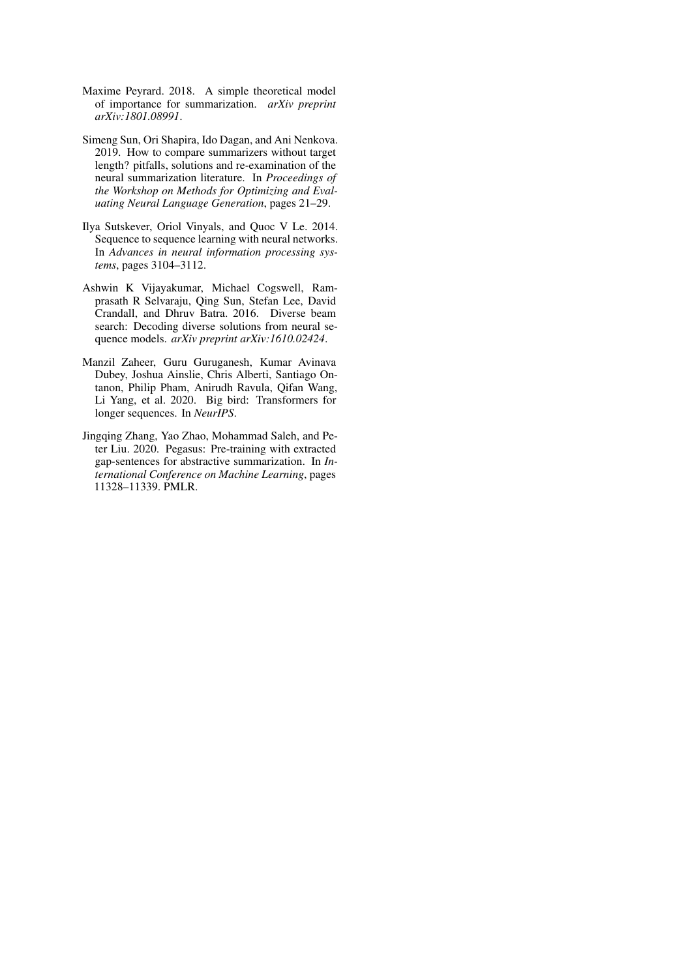- <span id="page-9-3"></span>Maxime Peyrard. 2018. A simple theoretical model of importance for summarization. *arXiv preprint arXiv:1801.08991*.
- <span id="page-9-1"></span>Simeng Sun, Ori Shapira, Ido Dagan, and Ani Nenkova. 2019. How to compare summarizers without target length? pitfalls, solutions and re-examination of the neural summarization literature. In *Proceedings of the Workshop on Methods for Optimizing and Evaluating Neural Language Generation*, pages 21–29.
- <span id="page-9-4"></span>Ilya Sutskever, Oriol Vinyals, and Quoc V Le. 2014. Sequence to sequence learning with neural networks. In *Advances in neural information processing systems*, pages 3104–3112.
- <span id="page-9-5"></span>Ashwin K Vijayakumar, Michael Cogswell, Ramprasath R Selvaraju, Qing Sun, Stefan Lee, David Crandall, and Dhruv Batra. 2016. Diverse beam search: Decoding diverse solutions from neural sequence models. *arXiv preprint arXiv:1610.02424*.
- <span id="page-9-2"></span>Manzil Zaheer, Guru Guruganesh, Kumar Avinava Dubey, Joshua Ainslie, Chris Alberti, Santiago Ontanon, Philip Pham, Anirudh Ravula, Qifan Wang, Li Yang, et al. 2020. Big bird: Transformers for longer sequences. In *NeurIPS*.
- <span id="page-9-0"></span>Jingqing Zhang, Yao Zhao, Mohammad Saleh, and Peter Liu. 2020. Pegasus: Pre-training with extracted gap-sentences for abstractive summarization. In *International Conference on Machine Learning*, pages 11328–11339. PMLR.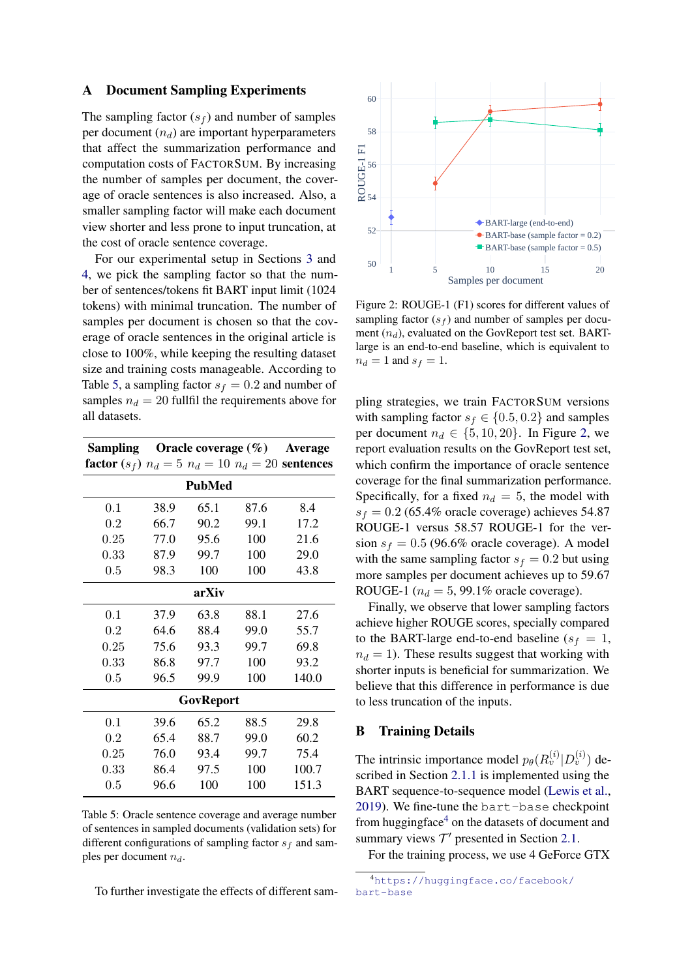#### <span id="page-10-0"></span>A Document Sampling Experiments

The sampling factor  $(s_f)$  and number of samples per document  $(n_d)$  are important hyperparameters that affect the summarization performance and computation costs of FACTORSUM. By increasing the number of samples per document, the coverage of oracle sentences is also increased. Also, a smaller sampling factor will make each document view shorter and less prone to input truncation, at the cost of oracle sentence coverage.

For our experimental setup in Sections [3](#page-4-3) and [4,](#page-4-4) we pick the sampling factor so that the number of sentences/tokens fit BART input limit (1024 tokens) with minimal truncation. The number of samples per document is chosen so that the coverage of oracle sentences in the original article is close to 100%, while keeping the resulting dataset size and training costs manageable. According to Table [5,](#page-10-2) a sampling factor  $s_f = 0.2$  and number of samples  $n_d = 20$  fullfil the requirements above for all datasets.

<span id="page-10-2"></span>

| <b>Sampling</b> Oracle coverage $(\%)$ Average                         |           |      |      |       |  |  |  |  |  |
|------------------------------------------------------------------------|-----------|------|------|-------|--|--|--|--|--|
| <b>factor</b> $(s_f)$ $n_d = 5$ $n_d = 10$ $n_d = 20$ <b>sentences</b> |           |      |      |       |  |  |  |  |  |
| <b>PubMed</b>                                                          |           |      |      |       |  |  |  |  |  |
| 0.1                                                                    | 38.9      | 65.1 | 87.6 | 8.4   |  |  |  |  |  |
| 0.2                                                                    | 66.7      | 90.2 | 99.1 | 17.2  |  |  |  |  |  |
| 0.25                                                                   | 77.0      | 95.6 | 100  | 21.6  |  |  |  |  |  |
| 0.33                                                                   | 87.9      | 99.7 | 100  | 29.0  |  |  |  |  |  |
| 0.5                                                                    | 98.3      | 100  | 100  | 43.8  |  |  |  |  |  |
| arXiv                                                                  |           |      |      |       |  |  |  |  |  |
| 0.1                                                                    | 37.9      | 63.8 | 88.1 | 27.6  |  |  |  |  |  |
| 0.2                                                                    | 64.6      | 88.4 | 99.0 | 55.7  |  |  |  |  |  |
| 0.25                                                                   | 75.6      | 93.3 | 99.7 | 69.8  |  |  |  |  |  |
| 0.33                                                                   | 86.8      | 97.7 | 100  | 93.2  |  |  |  |  |  |
| 0.5                                                                    | 96.5      | 99.9 | 100  | 140.0 |  |  |  |  |  |
|                                                                        | GovReport |      |      |       |  |  |  |  |  |
| 0.1                                                                    | 39.6      | 65.2 | 88.5 | 29.8  |  |  |  |  |  |
| 0.2                                                                    | 65.4      | 88.7 | 99.0 | 60.2  |  |  |  |  |  |
| 0.25                                                                   | 76.0      | 93.4 | 99.7 | 75.4  |  |  |  |  |  |
| 0.33                                                                   | 86.4      | 97.5 | 100  | 100.7 |  |  |  |  |  |
| 0.5                                                                    | 96.6      | 100  | 100  | 151.3 |  |  |  |  |  |

Table 5: Oracle sentence coverage and average number of sentences in sampled documents (validation sets) for different configurations of sampling factor  $s_f$  and samples per document  $n_d$ .

To further investigate the effects of different sam-

<span id="page-10-3"></span>

Figure 2: ROUGE-1 (F1) scores for different values of sampling factor  $(s_f)$  and number of samples per document  $(n_d)$ , evaluated on the GovReport test set. BARTlarge is an end-to-end baseline, which is equivalent to  $n_d = 1$  and  $s_f = 1$ .

pling strategies, we train FACTORSUM versions with sampling factor  $s_f \in \{0.5, 0.2\}$  and samples per document  $n_d \in \{5, 10, 20\}$ . In Figure [2,](#page-10-3) we report evaluation results on the GovReport test set, which confirm the importance of oracle sentence coverage for the final summarization performance. Specifically, for a fixed  $n_d = 5$ , the model with  $s_f = 0.2$  (65.4% oracle coverage) achieves 54.87 ROUGE-1 versus 58.57 ROUGE-1 for the version  $s_f = 0.5$  (96.6% oracle coverage). A model with the same sampling factor  $s_f = 0.2$  but using more samples per document achieves up to 59.67 ROUGE-1 ( $n_d = 5$ , 99.1% oracle coverage).

Finally, we observe that lower sampling factors achieve higher ROUGE scores, specially compared to the BART-large end-to-end baseline ( $s_f = 1$ ,  $n_d = 1$ ). These results suggest that working with shorter inputs is beneficial for summarization. We believe that this difference in performance is due to less truncation of the inputs.

#### <span id="page-10-1"></span>B Training Details

The intrinsic importance model  $p_{\theta}(R_v^{(i)} | D_v^{(i)})$  described in Section [2.1.1](#page-2-1) is implemented using the BART sequence-to-sequence model [\(Lewis et al.,](#page-8-0) [2019\)](#page-8-0). We fine-tune the bart-base checkpoint from huggingface $4$  on the datasets of document and summary views  $T'$  presented in Section [2.1.](#page-2-0)

For the training process, we use 4 GeForce GTX

<span id="page-10-4"></span><sup>4</sup>[https://huggingface.co/facebook/](https://huggingface.co/facebook/bart-base) [bart-base](https://huggingface.co/facebook/bart-base)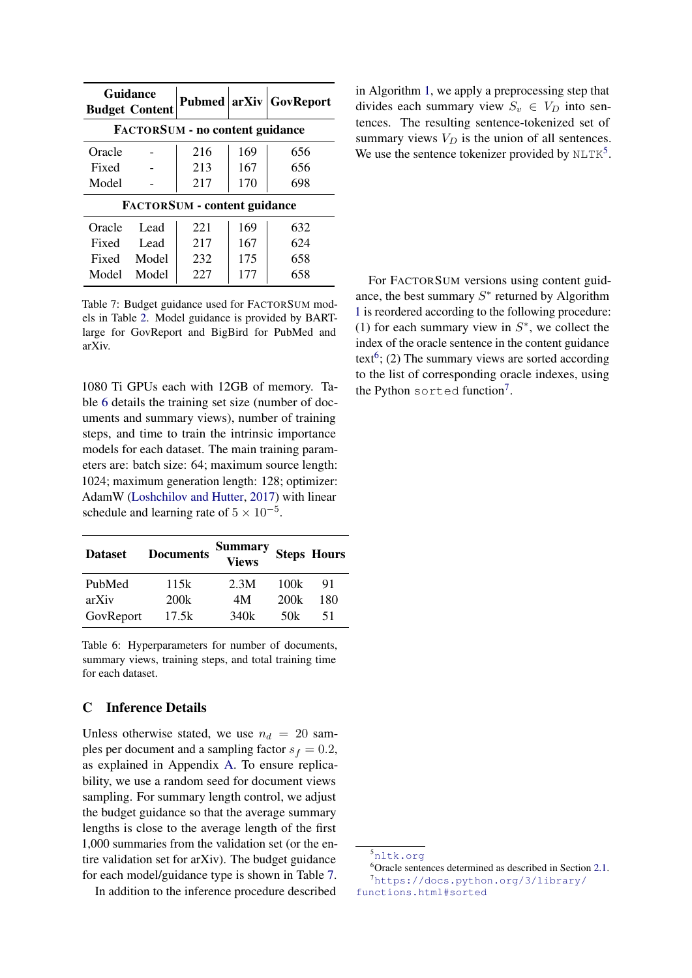<span id="page-11-1"></span>

|                                        | Guidance<br><b>Budget Content</b>   | Pubmed arXiv |     | GovReport |  |  |  |  |
|----------------------------------------|-------------------------------------|--------------|-----|-----------|--|--|--|--|
| <b>FACTORSUM - no content guidance</b> |                                     |              |     |           |  |  |  |  |
| Oracle                                 |                                     | 216          | 169 | 656       |  |  |  |  |
| Fixed                                  |                                     | 213          | 167 | 656       |  |  |  |  |
| Model                                  |                                     | 217          | 170 | 698       |  |  |  |  |
|                                        | <b>FACTORSUM - content guidance</b> |              |     |           |  |  |  |  |
| Oracle                                 | Lead                                | 221          | 169 | 632       |  |  |  |  |
| Fixed                                  | Lead                                | 217          | 167 | 624       |  |  |  |  |
| Fixed                                  | Model                               | 232          | 175 | 658       |  |  |  |  |
| Model                                  | Model                               | 227          | 177 | 658       |  |  |  |  |

Table 7: Budget guidance used for FACTORSUM models in Table [2.](#page-5-0) Model guidance is provided by BARTlarge for GovReport and BigBird for PubMed and arXiv.

1080 Ti GPUs each with 12GB of memory. Table [6](#page-11-2) details the training set size (number of documents and summary views), number of training steps, and time to train the intrinsic importance models for each dataset. The main training parameters are: batch size: 64; maximum source length: 1024; maximum generation length: 128; optimizer: AdamW [\(Loshchilov and Hutter,](#page-8-17) [2017\)](#page-8-17) with linear schedule and learning rate of  $5 \times 10^{-5}$ .

<span id="page-11-2"></span>

| <b>Dataset</b> | <b>Documents</b> | <b>Summary</b><br><b>Views</b> |      | <b>Steps Hours</b> |
|----------------|------------------|--------------------------------|------|--------------------|
| PubMed         | 115k             | 2.3M                           | 100k | 91                 |
| arXiv          | 200k             | 4M                             | 200k | 180                |
| GovReport      | 17.5k            | 340k                           | 50k  | 51                 |

Table 6: Hyperparameters for number of documents, summary views, training steps, and total training time for each dataset.

#### <span id="page-11-0"></span>C Inference Details

Unless otherwise stated, we use  $n_d = 20$  samples per document and a sampling factor  $s_f = 0.2$ , as explained in Appendix [A.](#page-10-0) To ensure replicability, we use a random seed for document views sampling. For summary length control, we adjust the budget guidance so that the average summary lengths is close to the average length of the first 1,000 summaries from the validation set (or the entire validation set for arXiv). The budget guidance for each model/guidance type is shown in Table [7.](#page-11-1)

In addition to the inference procedure described

in Algorithm [1,](#page-3-1) we apply a preprocessing step that divides each summary view  $S_v \in V_D$  into sentences. The resulting sentence-tokenized set of summary views  $V_D$  is the union of all sentences. We use the sentence tokenizer provided by  $\text{NLTK}^5$  $\text{NLTK}^5$ .

For FACTORSUM versions using content guidance, the best summary  $S^*$  returned by Algorithm [1](#page-3-1) is reordered according to the following procedure: (1) for each summary view in  $S^*$ , we collect the index of the oracle sentence in the content guidance text<sup>[6](#page-11-4)</sup>; (2) The summary views are sorted according to the list of corresponding oracle indexes, using the Python sorted function<sup>[7](#page-11-5)</sup>.

<span id="page-11-4"></span><span id="page-11-3"></span><sup>5</sup><nltk.org>

<span id="page-11-5"></span><sup>6</sup>Oracle sentences determined as described in Section [2.1.](#page-2-0) <sup>7</sup>[https://docs.python.org/3/library/](https://docs.python.org/3/library/functions.html#sorted) [functions.html#sorted](https://docs.python.org/3/library/functions.html#sorted)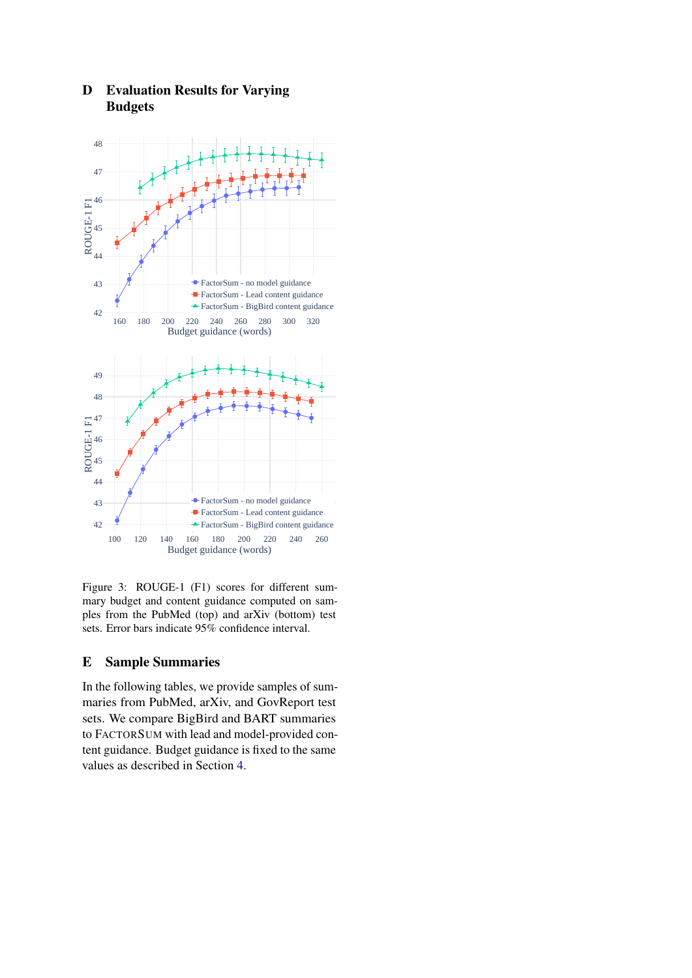

# <span id="page-12-1"></span>D Evaluation Results for Varying Budgets

Figure 3: ROUGE-1 (F1) scores for different summary budget and content guidance computed on samples from the PubMed (top) and arXiv (bottom) test sets. Error bars indicate 95% confidence interval.

# <span id="page-12-0"></span>E Sample Summaries

In the following tables, we provide samples of summaries from PubMed, arXiv, and GovReport test sets. We compare BigBird and BART summaries to FACTORSUM with lead and model-provided content guidance. Budget guidance is fixed to the same values as described in Section [4.](#page-4-4)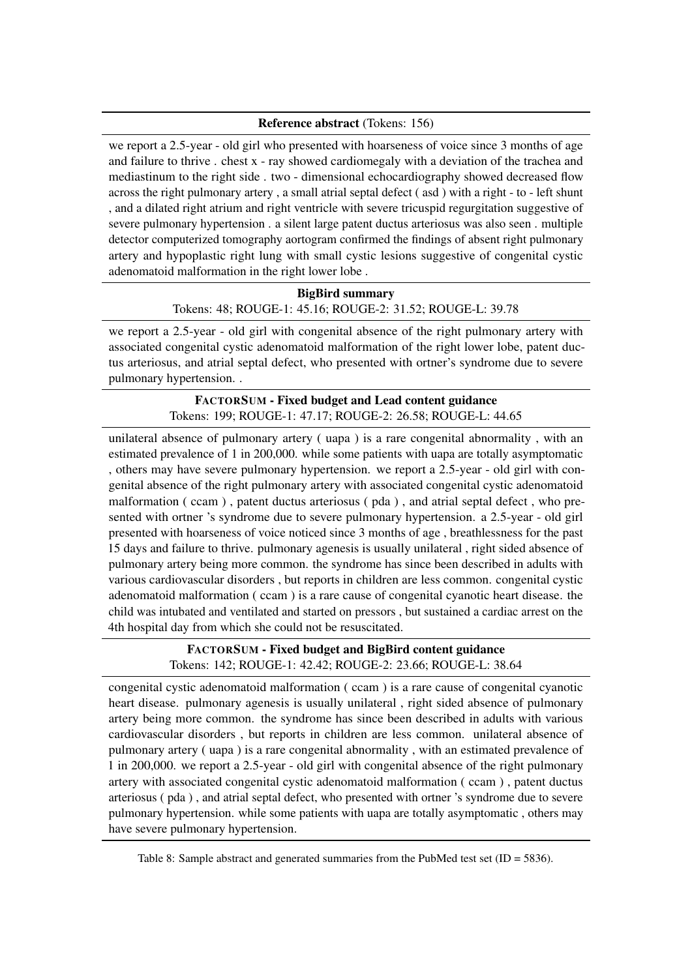## Reference abstract (Tokens: 156)

we report a 2.5-year - old girl who presented with hoarseness of voice since 3 months of age and failure to thrive . chest x - ray showed cardiomegaly with a deviation of the trachea and mediastinum to the right side . two - dimensional echocardiography showed decreased flow across the right pulmonary artery , a small atrial septal defect ( asd ) with a right - to - left shunt , and a dilated right atrium and right ventricle with severe tricuspid regurgitation suggestive of severe pulmonary hypertension . a silent large patent ductus arteriosus was also seen . multiple detector computerized tomography aortogram confirmed the findings of absent right pulmonary artery and hypoplastic right lung with small cystic lesions suggestive of congenital cystic adenomatoid malformation in the right lower lobe .

> BigBird summary Tokens: 48; ROUGE-1: 45.16; ROUGE-2: 31.52; ROUGE-L: 39.78

we report a 2.5-year - old girl with congenital absence of the right pulmonary artery with associated congenital cystic adenomatoid malformation of the right lower lobe, patent ductus arteriosus, and atrial septal defect, who presented with ortner's syndrome due to severe pulmonary hypertension. .

## FACTORSUM - Fixed budget and Lead content guidance Tokens: 199; ROUGE-1: 47.17; ROUGE-2: 26.58; ROUGE-L: 44.65

unilateral absence of pulmonary artery ( uapa ) is a rare congenital abnormality , with an estimated prevalence of 1 in 200,000. while some patients with uapa are totally asymptomatic , others may have severe pulmonary hypertension. we report a 2.5-year - old girl with congenital absence of the right pulmonary artery with associated congenital cystic adenomatoid malformation ( ccam ) , patent ductus arteriosus ( pda ) , and atrial septal defect , who presented with ortner 's syndrome due to severe pulmonary hypertension. a 2.5-year - old girl presented with hoarseness of voice noticed since 3 months of age , breathlessness for the past 15 days and failure to thrive. pulmonary agenesis is usually unilateral , right sided absence of pulmonary artery being more common. the syndrome has since been described in adults with various cardiovascular disorders , but reports in children are less common. congenital cystic adenomatoid malformation ( ccam ) is a rare cause of congenital cyanotic heart disease. the child was intubated and ventilated and started on pressors , but sustained a cardiac arrest on the 4th hospital day from which she could not be resuscitated.

# FACTORSUM - Fixed budget and BigBird content guidance Tokens: 142; ROUGE-1: 42.42; ROUGE-2: 23.66; ROUGE-L: 38.64

congenital cystic adenomatoid malformation ( ccam ) is a rare cause of congenital cyanotic heart disease. pulmonary agenesis is usually unilateral , right sided absence of pulmonary artery being more common. the syndrome has since been described in adults with various cardiovascular disorders , but reports in children are less common. unilateral absence of pulmonary artery ( uapa ) is a rare congenital abnormality , with an estimated prevalence of 1 in 200,000. we report a 2.5-year - old girl with congenital absence of the right pulmonary artery with associated congenital cystic adenomatoid malformation ( ccam ) , patent ductus arteriosus ( pda ) , and atrial septal defect, who presented with ortner 's syndrome due to severe pulmonary hypertension. while some patients with uapa are totally asymptomatic , others may have severe pulmonary hypertension.

Table 8: Sample abstract and generated summaries from the PubMed test set (ID = 5836).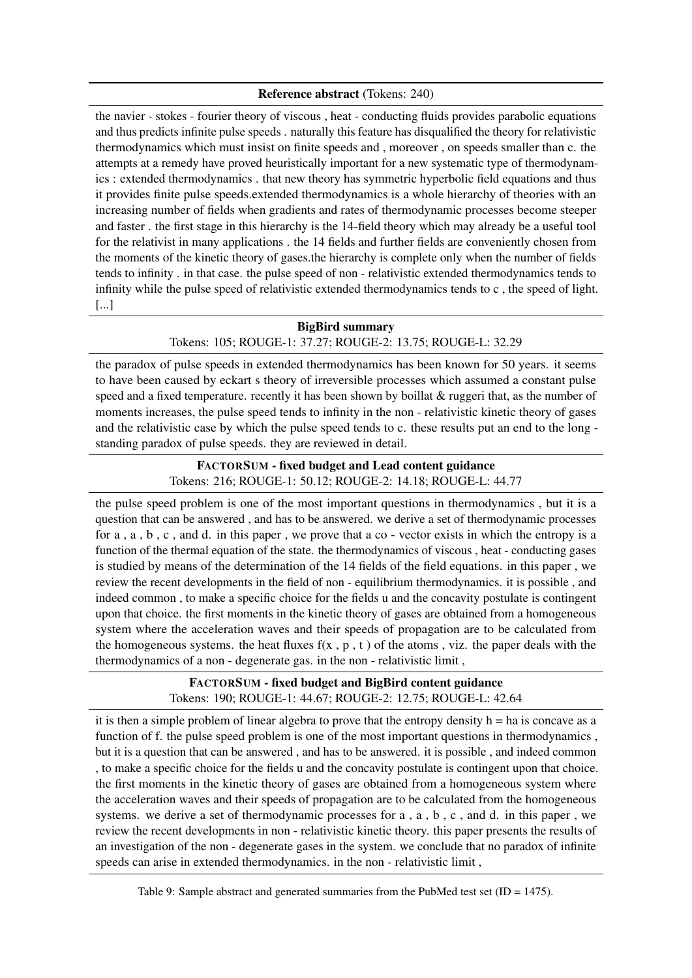#### Reference abstract (Tokens: 240)

the navier - stokes - fourier theory of viscous , heat - conducting fluids provides parabolic equations and thus predicts infinite pulse speeds . naturally this feature has disqualified the theory for relativistic thermodynamics which must insist on finite speeds and , moreover , on speeds smaller than c. the attempts at a remedy have proved heuristically important for a new systematic type of thermodynamics : extended thermodynamics . that new theory has symmetric hyperbolic field equations and thus it provides finite pulse speeds.extended thermodynamics is a whole hierarchy of theories with an increasing number of fields when gradients and rates of thermodynamic processes become steeper and faster . the first stage in this hierarchy is the 14-field theory which may already be a useful tool for the relativist in many applications . the 14 fields and further fields are conveniently chosen from the moments of the kinetic theory of gases.the hierarchy is complete only when the number of fields tends to infinity . in that case. the pulse speed of non - relativistic extended thermodynamics tends to infinity while the pulse speed of relativistic extended thermodynamics tends to c , the speed of light. [...]

## BigBird summary

## Tokens: 105; ROUGE-1: 37.27; ROUGE-2: 13.75; ROUGE-L: 32.29

the paradox of pulse speeds in extended thermodynamics has been known for 50 years. it seems to have been caused by eckart s theory of irreversible processes which assumed a constant pulse speed and a fixed temperature. recently it has been shown by boillat & ruggeri that, as the number of moments increases, the pulse speed tends to infinity in the non - relativistic kinetic theory of gases and the relativistic case by which the pulse speed tends to c. these results put an end to the long standing paradox of pulse speeds. they are reviewed in detail.

# FACTORSUM - fixed budget and Lead content guidance Tokens: 216; ROUGE-1: 50.12; ROUGE-2: 14.18; ROUGE-L: 44.77

the pulse speed problem is one of the most important questions in thermodynamics , but it is a question that can be answered , and has to be answered. we derive a set of thermodynamic processes for a,  $a, b, c$ , and d. in this paper, we prove that a co-vector exists in which the entropy is a function of the thermal equation of the state. the thermodynamics of viscous , heat - conducting gases is studied by means of the determination of the 14 fields of the field equations. in this paper , we review the recent developments in the field of non - equilibrium thermodynamics. it is possible , and indeed common , to make a specific choice for the fields u and the concavity postulate is contingent upon that choice. the first moments in the kinetic theory of gases are obtained from a homogeneous system where the acceleration waves and their speeds of propagation are to be calculated from the homogeneous systems, the heat fluxes  $f(x, p, t)$  of the atoms, viz. the paper deals with the thermodynamics of a non - degenerate gas. in the non - relativistic limit ,

# FACTORSUM - fixed budget and BigBird content guidance Tokens: 190; ROUGE-1: 44.67; ROUGE-2: 12.75; ROUGE-L: 42.64

it is then a simple problem of linear algebra to prove that the entropy density  $h = ha$  is concave as a function of f. the pulse speed problem is one of the most important questions in thermodynamics , but it is a question that can be answered , and has to be answered. it is possible , and indeed common , to make a specific choice for the fields u and the concavity postulate is contingent upon that choice. the first moments in the kinetic theory of gases are obtained from a homogeneous system where the acceleration waves and their speeds of propagation are to be calculated from the homogeneous systems. we derive a set of thermodynamic processes for a , a , b , c , and d. in this paper , we review the recent developments in non - relativistic kinetic theory. this paper presents the results of an investigation of the non - degenerate gases in the system. we conclude that no paradox of infinite speeds can arise in extended thermodynamics. in the non - relativistic limit ,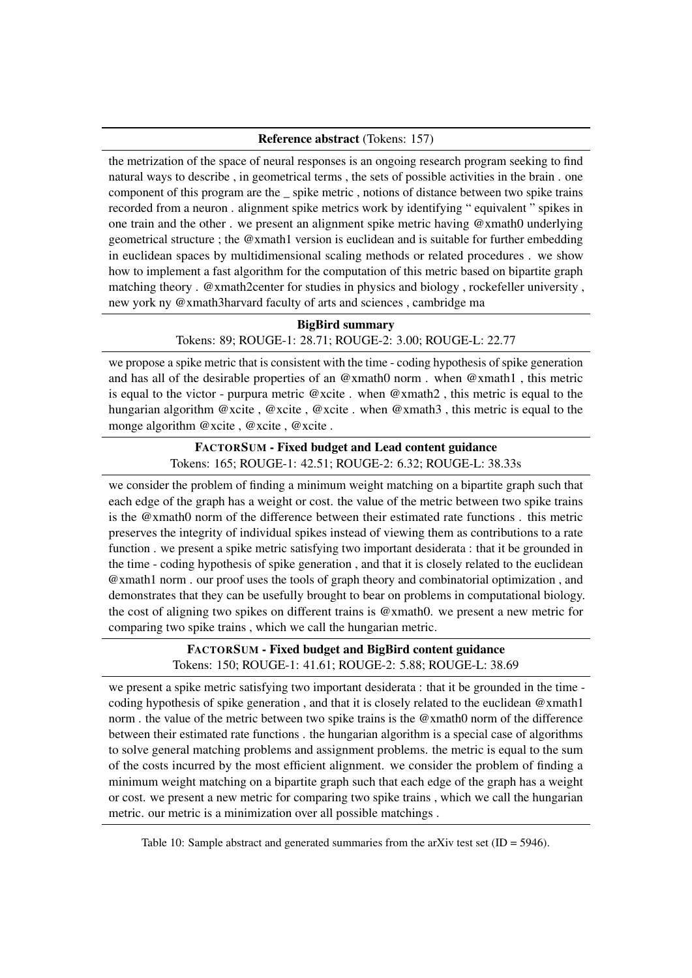#### Reference abstract (Tokens: 157)

the metrization of the space of neural responses is an ongoing research program seeking to find natural ways to describe , in geometrical terms , the sets of possible activities in the brain . one component of this program are the \_ spike metric , notions of distance between two spike trains recorded from a neuron . alignment spike metrics work by identifying " equivalent " spikes in one train and the other . we present an alignment spike metric having @xmath0 underlying geometrical structure ; the  $@x$  math1 version is euclidean and is suitable for further embedding in euclidean spaces by multidimensional scaling methods or related procedures . we show how to implement a fast algorithm for the computation of this metric based on bipartite graph matching theory . @xmath2center for studies in physics and biology , rockefeller university , new york ny @xmath3harvard faculty of arts and sciences , cambridge ma

#### BigBird summary

## Tokens: 89; ROUGE-1: 28.71; ROUGE-2: 3.00; ROUGE-L: 22.77

we propose a spike metric that is consistent with the time - coding hypothesis of spike generation and has all of the desirable properties of an @xmath0 norm . when @xmath1 , this metric is equal to the victor - purpura metric @xcite . when @xmath2 , this metric is equal to the hungarian algorithm @xcite , @xcite , @xcite . when @xmath3 , this metric is equal to the monge algorithm @xcite , @xcite , @xcite .

## FACTORSUM - Fixed budget and Lead content guidance Tokens: 165; ROUGE-1: 42.51; ROUGE-2: 6.32; ROUGE-L: 38.33s

we consider the problem of finding a minimum weight matching on a bipartite graph such that each edge of the graph has a weight or cost. the value of the metric between two spike trains is the @xmath0 norm of the difference between their estimated rate functions . this metric preserves the integrity of individual spikes instead of viewing them as contributions to a rate function . we present a spike metric satisfying two important desiderata : that it be grounded in the time - coding hypothesis of spike generation , and that it is closely related to the euclidean @xmath1 norm . our proof uses the tools of graph theory and combinatorial optimization , and demonstrates that they can be usefully brought to bear on problems in computational biology. the cost of aligning two spikes on different trains is @xmath0. we present a new metric for comparing two spike trains , which we call the hungarian metric.

## FACTORSUM - Fixed budget and BigBird content guidance Tokens: 150; ROUGE-1: 41.61; ROUGE-2: 5.88; ROUGE-L: 38.69

we present a spike metric satisfying two important desiderata : that it be grounded in the time coding hypothesis of spike generation , and that it is closely related to the euclidean @xmath1 norm . the value of the metric between two spike trains is the @xmath0 norm of the difference between their estimated rate functions . the hungarian algorithm is a special case of algorithms to solve general matching problems and assignment problems. the metric is equal to the sum of the costs incurred by the most efficient alignment. we consider the problem of finding a minimum weight matching on a bipartite graph such that each edge of the graph has a weight or cost. we present a new metric for comparing two spike trains , which we call the hungarian metric. our metric is a minimization over all possible matchings .

Table 10: Sample abstract and generated summaries from the arXiv test set  $(ID = 5946)$ .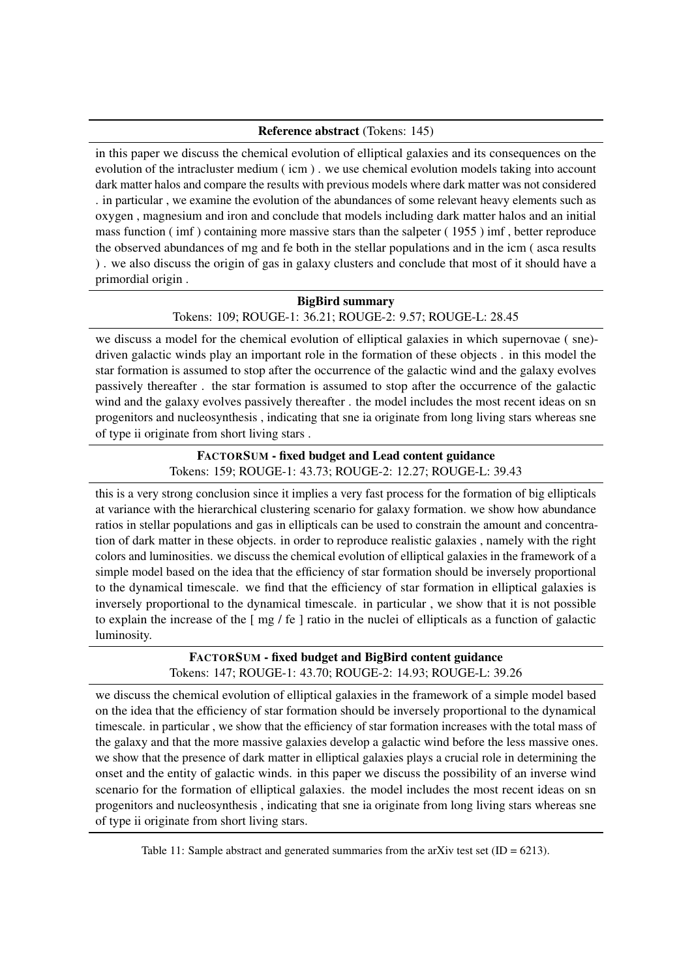#### Reference abstract (Tokens: 145)

in this paper we discuss the chemical evolution of elliptical galaxies and its consequences on the evolution of the intracluster medium ( icm ) . we use chemical evolution models taking into account dark matter halos and compare the results with previous models where dark matter was not considered . in particular , we examine the evolution of the abundances of some relevant heavy elements such as oxygen , magnesium and iron and conclude that models including dark matter halos and an initial mass function ( imf ) containing more massive stars than the salpeter ( 1955 ) imf , better reproduce the observed abundances of mg and fe both in the stellar populations and in the icm ( asca results ) . we also discuss the origin of gas in galaxy clusters and conclude that most of it should have a primordial origin .

#### BigBird summary

Tokens: 109; ROUGE-1: 36.21; ROUGE-2: 9.57; ROUGE-L: 28.45

we discuss a model for the chemical evolution of elliptical galaxies in which supernovae ( sne) driven galactic winds play an important role in the formation of these objects . in this model the star formation is assumed to stop after the occurrence of the galactic wind and the galaxy evolves passively thereafter . the star formation is assumed to stop after the occurrence of the galactic wind and the galaxy evolves passively thereafter . the model includes the most recent ideas on sn progenitors and nucleosynthesis , indicating that sne ia originate from long living stars whereas sne of type ii originate from short living stars .

# FACTORSUM - fixed budget and Lead content guidance Tokens: 159; ROUGE-1: 43.73; ROUGE-2: 12.27; ROUGE-L: 39.43

this is a very strong conclusion since it implies a very fast process for the formation of big ellipticals at variance with the hierarchical clustering scenario for galaxy formation. we show how abundance ratios in stellar populations and gas in ellipticals can be used to constrain the amount and concentration of dark matter in these objects. in order to reproduce realistic galaxies , namely with the right colors and luminosities. we discuss the chemical evolution of elliptical galaxies in the framework of a simple model based on the idea that the efficiency of star formation should be inversely proportional to the dynamical timescale. we find that the efficiency of star formation in elliptical galaxies is inversely proportional to the dynamical timescale. in particular , we show that it is not possible to explain the increase of the [ mg / fe ] ratio in the nuclei of ellipticals as a function of galactic luminosity.

# FACTORSUM - fixed budget and BigBird content guidance Tokens: 147; ROUGE-1: 43.70; ROUGE-2: 14.93; ROUGE-L: 39.26

we discuss the chemical evolution of elliptical galaxies in the framework of a simple model based on the idea that the efficiency of star formation should be inversely proportional to the dynamical timescale. in particular , we show that the efficiency of star formation increases with the total mass of the galaxy and that the more massive galaxies develop a galactic wind before the less massive ones. we show that the presence of dark matter in elliptical galaxies plays a crucial role in determining the onset and the entity of galactic winds. in this paper we discuss the possibility of an inverse wind scenario for the formation of elliptical galaxies. the model includes the most recent ideas on sn progenitors and nucleosynthesis , indicating that sne ia originate from long living stars whereas sne of type ii originate from short living stars.

Table 11: Sample abstract and generated summaries from the arXiv test set  $(ID = 6213)$ .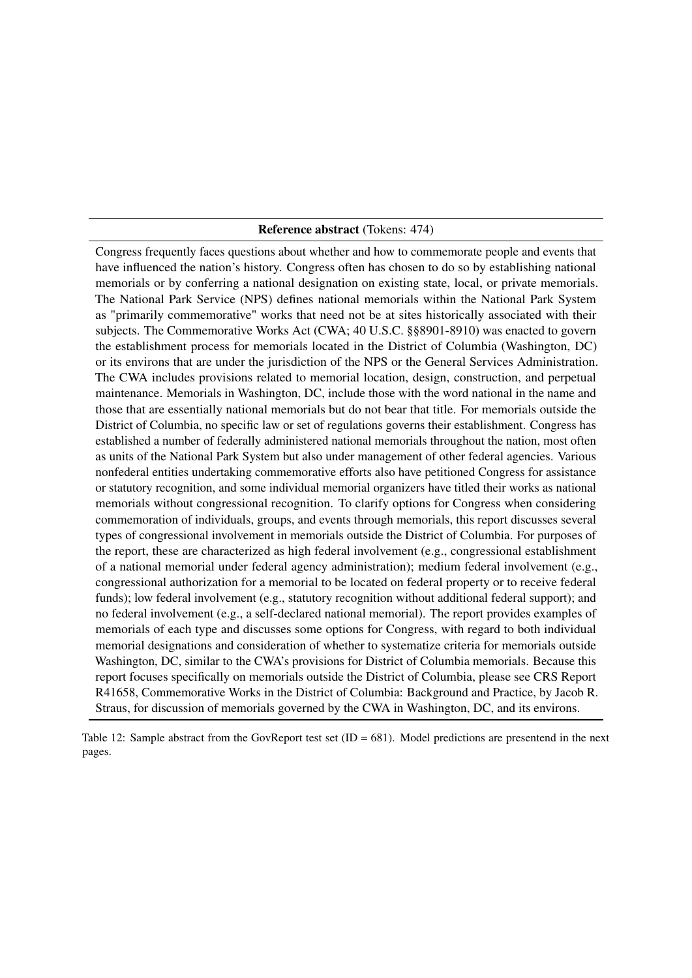#### Reference abstract (Tokens: 474)

<span id="page-17-0"></span>Congress frequently faces questions about whether and how to commemorate people and events that have influenced the nation's history. Congress often has chosen to do so by establishing national memorials or by conferring a national designation on existing state, local, or private memorials. The National Park Service (NPS) defines national memorials within the National Park System as "primarily commemorative" works that need not be at sites historically associated with their subjects. The Commemorative Works Act (CWA; 40 U.S.C. §§8901-8910) was enacted to govern the establishment process for memorials located in the District of Columbia (Washington, DC) or its environs that are under the jurisdiction of the NPS or the General Services Administration. The CWA includes provisions related to memorial location, design, construction, and perpetual maintenance. Memorials in Washington, DC, include those with the word national in the name and those that are essentially national memorials but do not bear that title. For memorials outside the District of Columbia, no specific law or set of regulations governs their establishment. Congress has established a number of federally administered national memorials throughout the nation, most often as units of the National Park System but also under management of other federal agencies. Various nonfederal entities undertaking commemorative efforts also have petitioned Congress for assistance or statutory recognition, and some individual memorial organizers have titled their works as national memorials without congressional recognition. To clarify options for Congress when considering commemoration of individuals, groups, and events through memorials, this report discusses several types of congressional involvement in memorials outside the District of Columbia. For purposes of the report, these are characterized as high federal involvement (e.g., congressional establishment of a national memorial under federal agency administration); medium federal involvement (e.g., congressional authorization for a memorial to be located on federal property or to receive federal funds); low federal involvement (e.g., statutory recognition without additional federal support); and no federal involvement (e.g., a self-declared national memorial). The report provides examples of memorials of each type and discusses some options for Congress, with regard to both individual memorial designations and consideration of whether to systematize criteria for memorials outside Washington, DC, similar to the CWA's provisions for District of Columbia memorials. Because this report focuses specifically on memorials outside the District of Columbia, please see CRS Report R41658, Commemorative Works in the District of Columbia: Background and Practice, by Jacob R. Straus, for discussion of memorials governed by the CWA in Washington, DC, and its environs.

Table 12: Sample abstract from the GovReport test set (ID = 681). Model predictions are presentend in the next pages.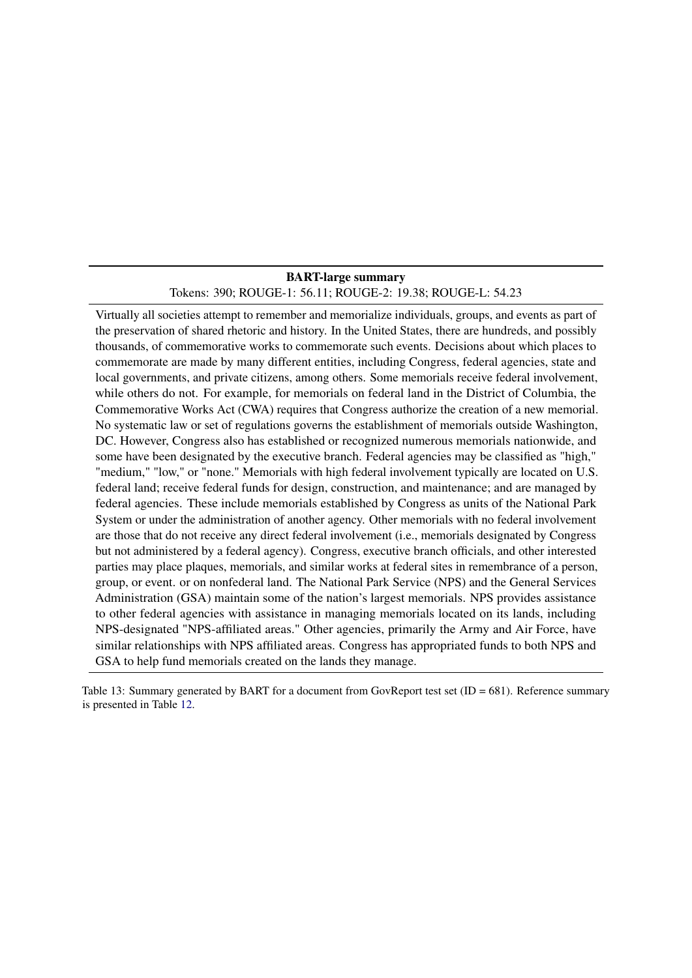## BART-large summary Tokens: 390; ROUGE-1: 56.11; ROUGE-2: 19.38; ROUGE-L: 54.23

Virtually all societies attempt to remember and memorialize individuals, groups, and events as part of the preservation of shared rhetoric and history. In the United States, there are hundreds, and possibly thousands, of commemorative works to commemorate such events. Decisions about which places to commemorate are made by many different entities, including Congress, federal agencies, state and local governments, and private citizens, among others. Some memorials receive federal involvement, while others do not. For example, for memorials on federal land in the District of Columbia, the Commemorative Works Act (CWA) requires that Congress authorize the creation of a new memorial. No systematic law or set of regulations governs the establishment of memorials outside Washington, DC. However, Congress also has established or recognized numerous memorials nationwide, and some have been designated by the executive branch. Federal agencies may be classified as "high," "medium," "low," or "none." Memorials with high federal involvement typically are located on U.S. federal land; receive federal funds for design, construction, and maintenance; and are managed by federal agencies. These include memorials established by Congress as units of the National Park System or under the administration of another agency. Other memorials with no federal involvement are those that do not receive any direct federal involvement (i.e., memorials designated by Congress but not administered by a federal agency). Congress, executive branch officials, and other interested parties may place plaques, memorials, and similar works at federal sites in remembrance of a person, group, or event. or on nonfederal land. The National Park Service (NPS) and the General Services Administration (GSA) maintain some of the nation's largest memorials. NPS provides assistance to other federal agencies with assistance in managing memorials located on its lands, including NPS-designated "NPS-affiliated areas." Other agencies, primarily the Army and Air Force, have similar relationships with NPS affiliated areas. Congress has appropriated funds to both NPS and GSA to help fund memorials created on the lands they manage.

Table 13: Summary generated by BART for a document from GovReport test set  $(ID = 681)$ . Reference summary is presented in Table [12.](#page-17-0)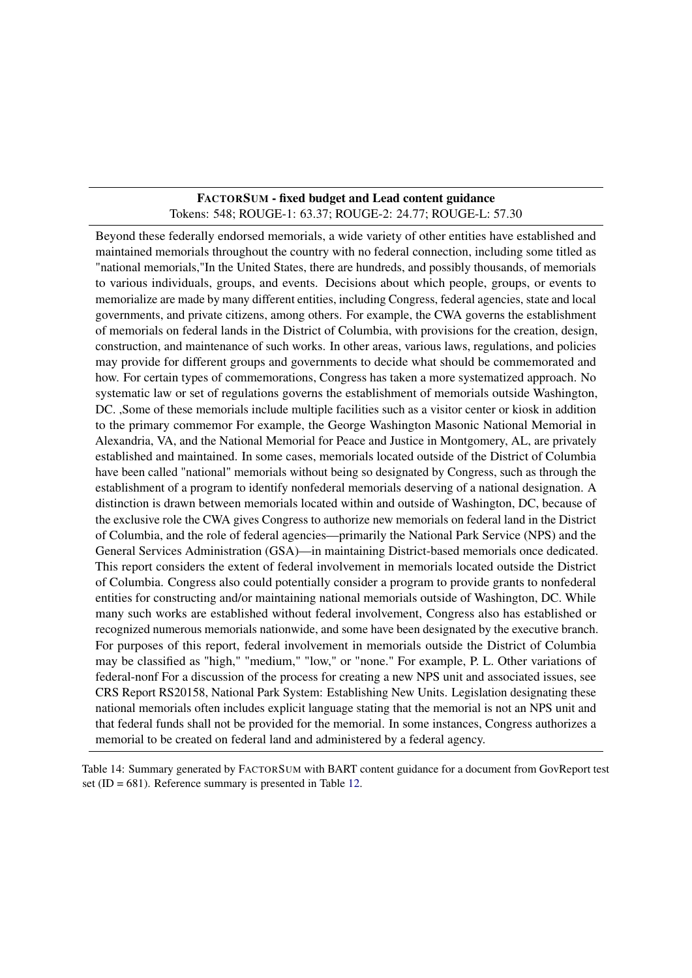## FACTORSUM - fixed budget and Lead content guidance Tokens: 548; ROUGE-1: 63.37; ROUGE-2: 24.77; ROUGE-L: 57.30

<span id="page-19-0"></span>Beyond these federally endorsed memorials, a wide variety of other entities have established and maintained memorials throughout the country with no federal connection, including some titled as "national memorials,"In the United States, there are hundreds, and possibly thousands, of memorials to various individuals, groups, and events. Decisions about which people, groups, or events to memorialize are made by many different entities, including Congress, federal agencies, state and local governments, and private citizens, among others. For example, the CWA governs the establishment of memorials on federal lands in the District of Columbia, with provisions for the creation, design, construction, and maintenance of such works. In other areas, various laws, regulations, and policies may provide for different groups and governments to decide what should be commemorated and how. For certain types of commemorations, Congress has taken a more systematized approach. No systematic law or set of regulations governs the establishment of memorials outside Washington, DC. ,Some of these memorials include multiple facilities such as a visitor center or kiosk in addition to the primary commemor For example, the George Washington Masonic National Memorial in Alexandria, VA, and the National Memorial for Peace and Justice in Montgomery, AL, are privately established and maintained. In some cases, memorials located outside of the District of Columbia have been called "national" memorials without being so designated by Congress, such as through the establishment of a program to identify nonfederal memorials deserving of a national designation. A distinction is drawn between memorials located within and outside of Washington, DC, because of the exclusive role the CWA gives Congress to authorize new memorials on federal land in the District of Columbia, and the role of federal agencies—primarily the National Park Service (NPS) and the General Services Administration (GSA)—in maintaining District-based memorials once dedicated. This report considers the extent of federal involvement in memorials located outside the District of Columbia. Congress also could potentially consider a program to provide grants to nonfederal entities for constructing and/or maintaining national memorials outside of Washington, DC. While many such works are established without federal involvement, Congress also has established or recognized numerous memorials nationwide, and some have been designated by the executive branch. For purposes of this report, federal involvement in memorials outside the District of Columbia may be classified as "high," "medium," "low," or "none." For example, P. L. Other variations of federal-nonf For a discussion of the process for creating a new NPS unit and associated issues, see CRS Report RS20158, National Park System: Establishing New Units. Legislation designating these national memorials often includes explicit language stating that the memorial is not an NPS unit and that federal funds shall not be provided for the memorial. In some instances, Congress authorizes a memorial to be created on federal land and administered by a federal agency.

Table 14: Summary generated by FACTORSUM with BART content guidance for a document from GovReport test set (ID = 681). Reference summary is presented in Table [12.](#page-17-0)